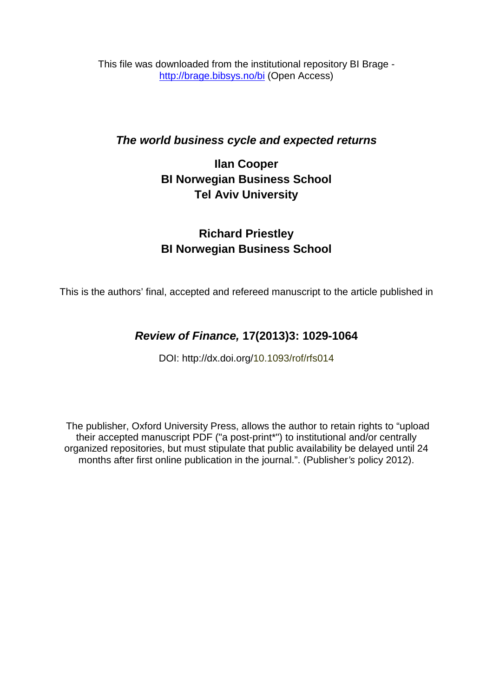This file was downloaded from the institutional repository BI Brage <http://brage.bibsys.no/bi> (Open Access)

## *The world business cycle and expected returns*

# **Ilan Cooper BI Norwegian Business School Tel Aviv University**

# **Richard Priestley BI Norwegian Business School**

This is the authors' final, accepted and refereed manuscript to the article published in

# *Review of Finance,* **17(2013)3: 1029-1064**

DOI: http://dx.doi.org/10.1093/rof/rfs014

The publisher, Oxford University Press, allows the author to retain rights to "upload their accepted manuscript PDF ("a post-print\*") to institutional and/or centrally organized repositories, but must stipulate that public availability be delayed until 24 months after first online publication in the journal.". (Publisher*'s* policy 2012).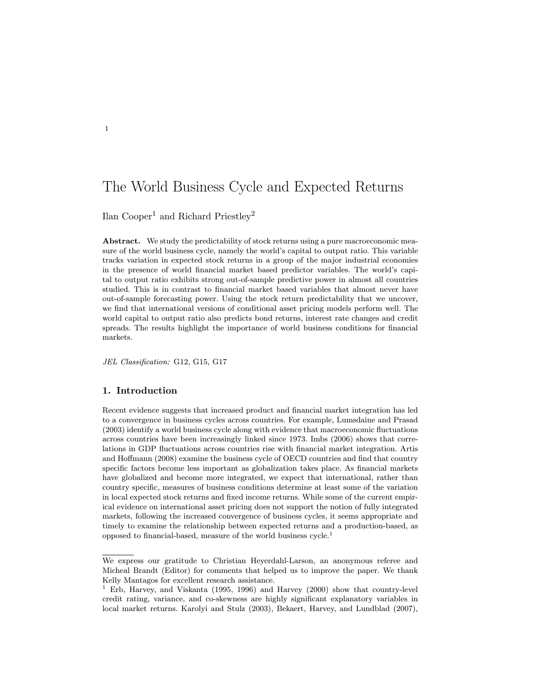## The World Business Cycle and Expected Returns

Ilan Cooper<sup>1</sup> and Richard Priestley<sup>2</sup>

Abstract. We study the predictability of stock returns using a pure macroeconomic measure of the world business cycle, namely the world's capital to output ratio. This variable tracks variation in expected stock returns in a group of the major industrial economies in the presence of world nancial market based predictor variables. The world's capital to output ratio exhibits strong out-of-sample predictive power in almost all countries studied. This is in contrast to financial market based variables that almost never have out-of-sample forecasting power. Using the stock return predictability that we uncover, we find that international versions of conditional asset pricing models perform well. The world capital to output ratio also predicts bond returns, interest rate changes and credit spreads. The results highlight the importance of world business conditions for financial markets.

JEL Classification: G12, G15, G17

## 1. Introduction

Recent evidence suggests that increased product and financial market integration has led to a convergence in business cycles across countries. For example, Lumsdaine and Prasad (2003) identify a world business cycle along with evidence that macroeconomic 
uctuations across countries have been increasingly linked since 1973. Imbs (2006) shows that correlations in GDP fluctuations across countries rise with financial market integration. Artis and Hoffmann (2008) examine the business cycle of OECD countries and find that country specific factors become less important as globalization takes place. As financial markets have globalized and become more integrated, we expect that international, rather than country specic, measures of business conditions determine at least some of the variation in local expected stock returns and fixed income returns. While some of the current empirical evidence on international asset pricing does not support the notion of fully integrated markets, following the increased convergence of business cycles, it seems appropriate and timely to examine the relationship between expected returns and a production-based, as opposed to financial-based, measure of the world business  $cycle<sup>1</sup>$ 

We express our gratitude to Christian Heyerdahl-Larson, an anonymous referee and Micheal Brandt (Editor) for comments that helped us to improve the paper. We thank Kelly Mantagos for excellent research assistance.

<sup>1</sup> Erb, Harvey, and Viskanta (1995, 1996) and Harvey (2000) show that country-level credit rating, variance, and co-skewness are highly signicant explanatory variables in local market returns. Karolyi and Stulz (2003), Bekaert, Harvey, and Lundblad (2007),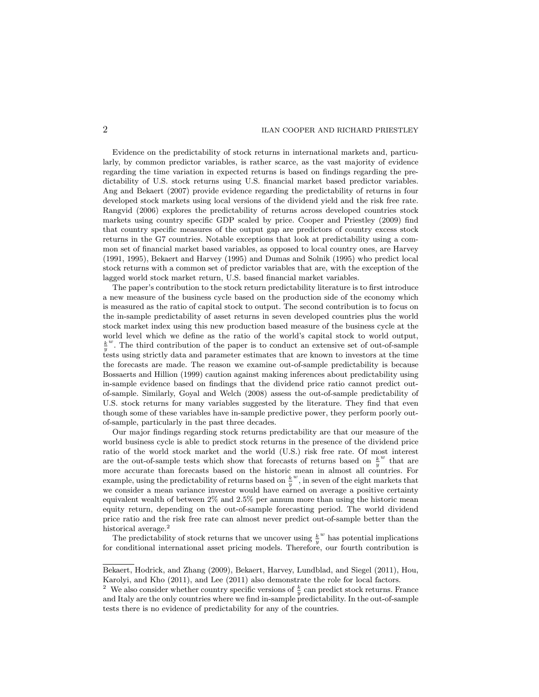## **2** ILAN COOPER AND RICHARD PRIESTLEY

Evidence on the predictability of stock returns in international markets and, particularly, by common predictor variables, is rather scarce, as the vast majority of evidence regarding the time variation in expected returns is based on findings regarding the predictability of U.S. stock returns using U.S. financial market based predictor variables. Ang and Bekaert (2007) provide evidence regarding the predictability of returns in four developed stock markets using local versions of the dividend yield and the risk free rate. Rangvid (2006) explores the predictability of returns across developed countries stock markets using country specific GDP scaled by price. Cooper and Priestley (2009) find that country specic measures of the output gap are predictors of country excess stock returns in the G7 countries. Notable exceptions that look at predictability using a common set of financial market based variables, as opposed to local country ones, are Harvey (1991, 1995), Bekaert and Harvey (1995) and Dumas and Solnik (1995) who predict local stock returns with a common set of predictor variables that are, with the exception of the lagged world stock market return, U.S. based financial market variables.

The paper's contribution to the stock return predictability literature is to first introduce a new measure of the business cycle based on the production side of the economy which is measured as the ratio of capital stock to output. The second contribution is to focus on the in-sample predictability of asset returns in seven developed countries plus the world stock market index using this new production based measure of the business cycle at the world level which we define as the ratio of the world's capital stock to world output,  $\frac{k}{y}$  $\mu^w$ . The third contribution of the paper is to conduct an extensive set of out-of-sample tests using strictly data and parameter estimates that are known to investors at the time the forecasts are made. The reason we examine out-of-sample predictability is because Bossaerts and Hillion (1999) caution against making inferences about predictability using in-sample evidence based on findings that the dividend price ratio cannot predict outof-sample. Similarly, Goyal and Welch (2008) assess the out-of-sample predictability of U.S. stock returns for many variables suggested by the literature. They find that even though some of these variables have in-sample predictive power, they perform poorly outof-sample, particularly in the past three decades.

Our major findings regarding stock returns predictability are that our measure of the world business cycle is able to predict stock returns in the presence of the dividend price ratio of the world stock market and the world (U.S.) risk free rate. Of most interest are the out-of-sample tests which show that forecasts of returns based on  $\frac{k}{y}$  $\real^w$  that are more accurate than forecasts based on the historic mean in almost all countries. For example, using the predictability of returns based on  $\frac{k}{y}$  $\omega$ , in seven of the eight markets that we consider a mean variance investor would have earned on average a positive certainty equivalent wealth of between  $2\%$  and  $2.5\%$  per annum more than using the historic mean equity return, depending on the out-of-sample forecasting period. The world dividend price ratio and the risk free rate can almost never predict out-of-sample better than the historical average.<sup>2</sup>

The predictability of stock returns that we uncover using  $\frac{k}{y}$  $w$  has potential implications for conditional international asset pricing models. Therefore, our fourth contribution is

Bekaert, Hodrick, and Zhang (2009), Bekaert, Harvey, Lundblad, and Siegel (2011), Hou, Karolyi, and Kho (2011), and Lee (2011) also demonstrate the role for local factors.

<sup>&</sup>lt;sup>2</sup> We also consider whether country specific versions of  $\frac{k}{y}$  can predict stock returns. France and Italy are the only countries where we find in-sample predictability. In the out-of-sample tests there is no evidence of predictability for any of the countries.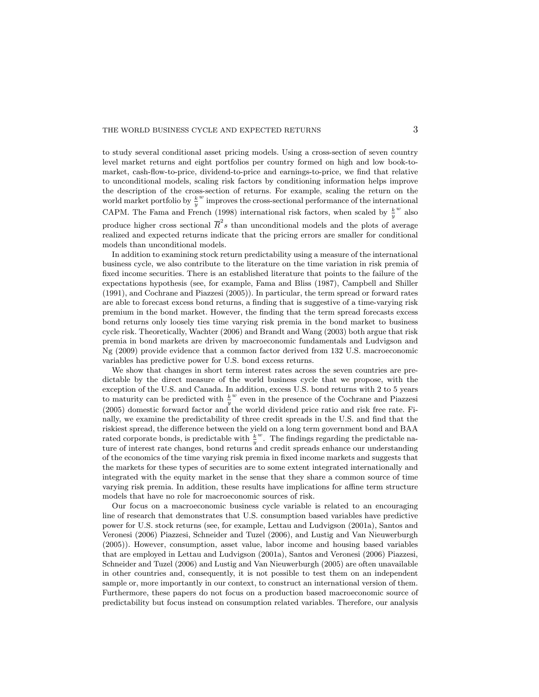to study several conditional asset pricing models. Using a cross-section of seven country level market returns and eight portfolios per country formed on high and low book-tomarket, cash-flow-to-price, dividend-to-price and earnings-to-price, we find that relative to unconditional models, scaling risk factors by conditioning information helps improve the description of the cross-section of returns. For example, scaling the return on the world market portfolio by  $\frac{k}{y}$ w improves the cross-sectional performance of the international CAPM. The Fama and French (1998) international risk factors, when scaled by  $\frac{k}{y}$  $\omega$  also produce higher cross sectional  $\overline{R}^2s$  than unconditional models and the plots of average realized and expected returns indicate that the pricing errors are smaller for conditional models than unconditional models.

In addition to examining stock return predictability using a measure of the international business cycle, we also contribute to the literature on the time variation in risk premia of fixed income securities. There is an established literature that points to the failure of the expectations hypothesis (see, for example, Fama and Bliss (1987), Campbell and Shiller (1991), and Cochrane and Piazzesi (2005)). In particular, the term spread or forward rates are able to forecast excess bond returns, a finding that is suggestive of a time-varying risk premium in the bond market. However, the finding that the term spread forecasts excess bond returns only loosely ties time varying risk premia in the bond market to business cycle risk. Theoretically, Wachter (2006) and Brandt and Wang (2003) both argue that risk premia in bond markets are driven by macroeconomic fundamentals and Ludvigson and Ng (2009) provide evidence that a common factor derived from 132 U.S. macroeconomic variables has predictive power for U.S. bond excess returns.

We show that changes in short term interest rates across the seven countries are predictable by the direct measure of the world business cycle that we propose, with the exception of the U.S. and Canada. In addition, excess U.S. bond returns with 2 to 5 years to maturity can be predicted with  $\frac{k}{y}$ w even in the presence of the Cochrane and Piazzesi (2005) domestic forward factor and the world dividend price ratio and risk free rate. Finally, we examine the predictability of three credit spreads in the U.S. and find that the riskiest spread, the difference between the yield on a long term government bond and BAA rated corporate bonds, is predictable with  $\frac{k}{y}$  $\omega$ . The findings regarding the predictable nature of interest rate changes, bond returns and credit spreads enhance our understanding of the economics of the time varying risk premia in fixed income markets and suggests that the markets for these types of securities are to some extent integrated internationally and integrated with the equity market in the sense that they share a common source of time varying risk premia. In addition, these results have implications for affine term structure models that have no role for macroeconomic sources of risk.

Our focus on a macroeconomic business cycle variable is related to an encouraging line of research that demonstrates that U.S. consumption based variables have predictive power for U.S. stock returns (see, for example, Lettau and Ludvigson (2001a), Santos and Veronesi (2006) Piazzesi, Schneider and Tuzel (2006), and Lustig and Van Nieuwerburgh (2005)). However, consumption, asset value, labor income and housing based variables that are employed in Lettau and Ludvigson (2001a), Santos and Veronesi (2006) Piazzesi, Schneider and Tuzel (2006) and Lustig and Van Nieuwerburgh (2005) are often unavailable in other countries and, consequently, it is not possible to test them on an independent sample or, more importantly in our context, to construct an international version of them. Furthermore, these papers do not focus on a production based macroeconomic source of predictability but focus instead on consumption related variables. Therefore, our analysis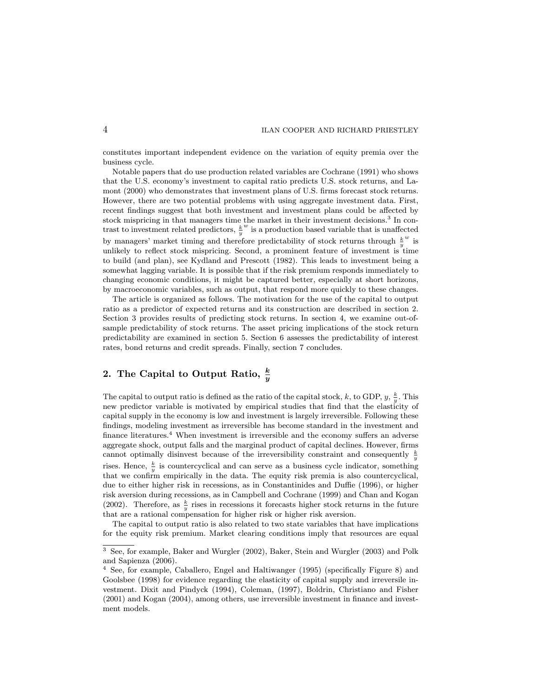constitutes important independent evidence on the variation of equity premia over the business cycle.

Notable papers that do use production related variables are Cochrane (1991) who shows that the U.S. economy's investment to capital ratio predicts U.S. stock returns, and Lamont (2000) who demonstrates that investment plans of U.S. firms forecast stock returns. However, there are two potential problems with using aggregate investment data. First, recent findings suggest that both investment and investment plans could be affected by stock mispricing in that managers time the market in their investment decisions.<sup>3</sup> In contrast to investment related predictors,  $\frac{k}{y}$  $w$  is a production based variable that is unaffected by managers' market timing and therefore predictability of stock returns through  $\frac{k}{y}$  $\mathbf{w}$  is unlikely to reflect stock mispricing. Second, a prominent feature of investment is time to build (and plan), see Kydland and Prescott (1982). This leads to investment being a somewhat lagging variable. It is possible that if the risk premium responds immediately to changing economic conditions, it might be captured better, especially at short horizons, by macroeconomic variables, such as output, that respond more quickly to these changes.

The article is organized as follows. The motivation for the use of the capital to output ratio as a predictor of expected returns and its construction are described in section 2. Section 3 provides results of predicting stock returns. In section 4, we examine out-ofsample predictability of stock returns. The asset pricing implications of the stock return predictability are examined in section 5. Section 6 assesses the predictability of interest rates, bond returns and credit spreads. Finally, section 7 concludes.

## 2. The Capital to Output Ratio,  $\frac{k}{y}$

The capital to output ratio is defined as the ratio of the capital stock, k, to GDP,  $y, \frac{k}{y}$ . This new predictor variable is motivated by empirical studies that find that the elasticity of capital supply in the economy is low and investment is largely irreversible. Following these findings, modeling investment as irreversible has become standard in the investment and finance literatures.<sup>4</sup> When investment is irreversible and the economy suffers an adverse aggregate shock, output falls and the marginal product of capital declines. However, firms cannot optimally disinvest because of the irreversibility constraint and consequently  $\frac{k}{y}$ rises. Hence,  $\frac{k}{y}$  is countercyclical and can serve as a business cycle indicator, something that we confirm empirically in the data. The equity risk premia is also countercyclical, due to either higher risk in recessions, as in Constantinides and Duffie (1996), or higher risk aversion during recessions, as in Campbell and Cochrane (1999) and Chan and Kogan (2002). Therefore, as  $\frac{k}{y}$  rises in recessions it forecasts higher stock returns in the future that are a rational compensation for higher risk or higher risk aversion.

The capital to output ratio is also related to two state variables that have implications for the equity risk premium. Market clearing conditions imply that resources are equal

<sup>&</sup>lt;sup>3</sup> See, for example, Baker and Wurgler (2002), Baker, Stein and Wurgler (2003) and Polk and Sapienza (2006).

<sup>&</sup>lt;sup>4</sup> See, for example, Caballero, Engel and Haltiwanger (1995) (specifically Figure 8) and Goolsbee (1998) for evidence regarding the elasticity of capital supply and irreversile investment. Dixit and Pindyck (1994), Coleman, (1997), Boldrin, Christiano and Fisher (2001) and Kogan (2004), among others, use irreversible investment in finance and investment models.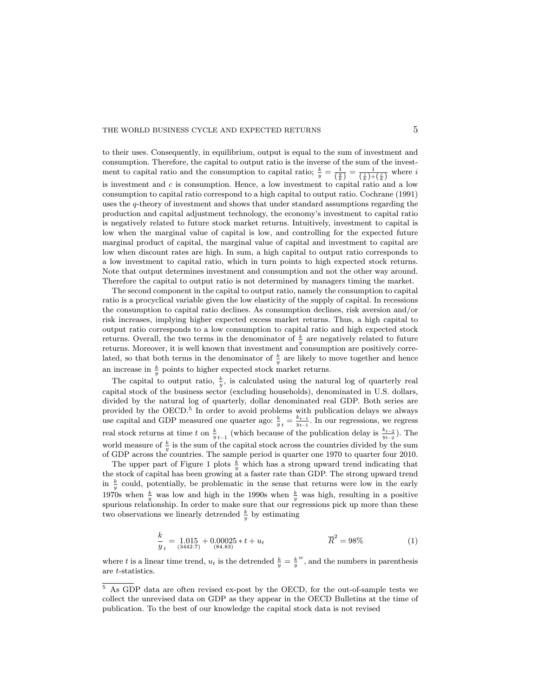to their uses. Consequently, in equilibrium, output is equal to the sum of investment and consumption. Therefore, the capital to output ratio is the inverse of the sum of the investment to capital ratio and the consumption to capital ratio;  $\frac{k}{y} = \frac{1}{\left(\frac{y}{k}\right)} = \frac{1}{\left(\frac{i}{k}\right) + \left(\frac{c}{k}\right)}$ where  $i$ is investment and  $c$  is consumption. Hence, a low investment to capital ratio and a low consumption to capital ratio correspond to a high capital to output ratio. Cochrane (1991) uses the q-theory of investment and shows that under standard assumptions regarding the production and capital adjustment technology, the economy's investment to capital ratio is negatively related to future stock market returns. Intuitively, investment to capital is low when the marginal value of capital is low, and controlling for the expected future marginal product of capital, the marginal value of capital and investment to capital are low when discount rates are high. In sum, a high capital to output ratio corresponds to a low investment to capital ratio, which in turn points to high expected stock returns. Note that output determines investment and consumption and not the other way around. Therefore the capital to output ratio is not determined by managers timing the market.

The second component in the capital to output ratio, namely the consumption to capital ratio is a procyclical variable given the low elasticity of the supply of capital. In recessions the consumption to capital ratio declines. As consumption declines, risk aversion and/or risk increases, implying higher expected excess market returns. Thus, a high capital to output ratio corresponds to a low consumption to capital ratio and high expected stock returns. Overall, the two terms in the denominator of  $\frac{k}{y}$  are negatively related to future returns. Moreover, it is well known that investment and consumption are positively correlated, so that both terms in the denominator of  $\frac{k}{y}$  are likely to move together and hence an increase in  $\frac{k}{y}$  points to higher expected stock market returns.

The capital to output ratio,  $\frac{k}{y}$ , is calculated using the natural log of quarterly real capital stock of the business sector (excluding households), denominated in U.S. dollars, divided by the natural log of quarterly, dollar denominated real GDP. Both series are provided by the OECD.<sup>5</sup> In order to avoid problems with publication delays we always use capital and GDP measured one quarter ago:  $\frac{k}{y}$ <sub>t</sub> =  $\frac{k_{t-1}}{y_{t-1}}$ . In our regressions, we regress real stock returns at time t on  $\frac{k}{y}_{t-1}$  (which because of the publication delay is  $\frac{k_{t-2}}{y_{t-2}}$ ). The world measure of  $\frac{k}{y}$  is the sum of the capital stock across the countries divided by the sum of GDP across the countries: The sample period is quarter one 1970 to quarter four 2010.

The upper part of Figure 1 plots  $\frac{k}{y}$  which has a strong upward trend indicating that the stock of capital has been growing at a faster rate than GDP. The strong upward trend in  $\frac{k}{y}$  could, potentially, be problematic in the sense that returns were low in the early 1970s when  $\frac{k}{y}$  was low and high in the 1990s when  $\frac{k}{y}$  was high, resulting in a positive spurious relationship. In order to make sure that our regressions pick up more than these two observations we linearly detrended  $\frac{k}{y}$  by estimating

$$
\frac{k}{y_t} = 1.015 + 0.00025 * t + u_t \qquad \qquad \overline{R}^2 = 98\tag{1}
$$

where t is a linear time trend,  $u_t$  is the detrended  $\frac{k}{y} = \frac{k}{y}$  $\mu^w$ , and the numbers in parenthesis are t-statistics.

<sup>5</sup> As GDP data are often revised ex-post by the OECD, for the out-of-sample tests we collect the unrevised data on GDP as they appear in the OECD Bulletins at the time of publication. To the best of our knowledge the capital stock data is not revised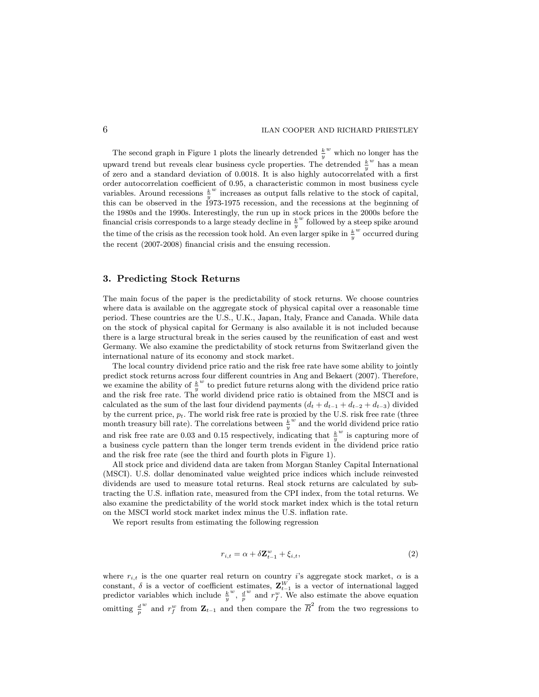The second graph in Figure 1 plots the linearly detrended  $\frac{k}{y}$  $\stackrel{w}{\rule{0pt}{0.5ex}}$  which no longer has the upward trend but reveals clear business cycle properties. The detrended  $\frac{k}{y}$  $^w$  has a mean of zero and a standard deviation of 0.0018. It is also highly autocorrelated with a first order autocorrelation coefficient of 0.95, a characteristic common in most business cycle variables. Around recessions  $\frac{k^w}{n}$  increases as output falls relative to the stock of capital,  $y$  increases as output hans relative to the stock of capital, this can be observed in the 1973-1975 recession, and the recessions at the beginning of the 1980s and the 1990s. Interestingly, the run up in stock prices in the 2000s before the financial crisis corresponds to a large steady decline in  $\frac{k}{y}$  $w$  followed by a steep spike around the time of the crisis as the recession took hold. An even larger spike in  $\frac{k}{y}$ w occurred during the recent (2007-2008) financial crisis and the ensuing recession.

## 3. Predicting Stock Returns

The main focus of the paper is the predictability of stock returns. We choose countries where data is available on the aggregate stock of physical capital over a reasonable time period. These countries are the U.S., U.K., Japan, Italy, France and Canada. While data on the stock of physical capital for Germany is also available it is not included because there is a large structural break in the series caused by the reunication of east and west Germany. We also examine the predictability of stock returns from Switzerland given the international nature of its economy and stock market.

The local country dividend price ratio and the risk free rate have some ability to jointly predict stock returns across four different countries in Ang and Bekaert (2007). Therefore, we examine the ability of  $\frac{k}{y}$  $w$  to predict future returns along with the dividend price ratio and the risk free rate. The world dividend price ratio is obtained from the MSCI and is calculated as the sum of the last four dividend payments  $(d_t + d_{t-1} + d_{t-2} + d_{t-3})$  divided by the current price,  $p_t$ . The world risk free rate is proxied by the U.S. risk free rate (three month treasury bill rate). The correlations between  $\frac{k}{y}$ w and the world dividend price ratio and risk free rate are 0.03 and 0.15 respectively, indicating that  $\frac{k}{y}$ w is capturing more of a business cycle pattern than the longer term trends evident in the dividend price ratio and the risk free rate (see the third and fourth plots in Figure 1).

All stock price and dividend data are taken from Morgan Stanley Capital International (MSCI). U.S. dollar denominated value weighted price indices which include reinvested dividends are used to measure total returns. Real stock returns are calculated by subtracting the U.S. inflation rate, measured from the CPI index, from the total returns. We also examine the predictability of the world stock market index which is the total return on the MSCI world stock market index minus the U.S. in
ation rate.

We report results from estimating the following regression

$$
r_{i,t} = \alpha + \delta \mathbf{Z}_{t-1}^w + \xi_{i,t},\tag{2}
$$

where  $r_{i,t}$  is the one quarter real return on country i's aggregate stock market,  $\alpha$  is a constant,  $\delta$  is a vector of coefficient estimates,  $\mathbf{Z}_{t-1}^W$  is a vector of international lagged predictor variables which include  $\frac{k}{y}$  $\frac{w}{p}$ ,  $\frac{d}{p}$  $w$  and  $r_f^w$ . We also estimate the above equation omitting  $\frac{d}{p}$ <sup>w</sup> and  $r_f^w$  from  $\mathbf{Z}_{t-1}$  and then compare the  $\overline{R}^2$  from the two regressions to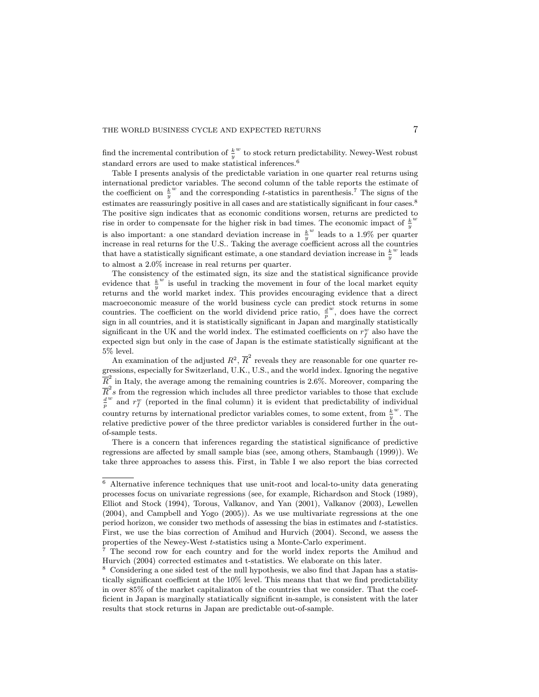find the incremental contribution of  $\frac{k}{y}$  $\stackrel{w}{\sim}$  to stock return predictability. Newey-West robust standard errors are used to make statistical inferences.<sup>6</sup>

Table I presents analysis of the predictable variation in one quarter real returns using international predictor variables. The second column of the table reports the estimate of the coefficient on  $\frac{k}{y}$  $\omega$  and the corresponding t-statistics in parenthesis.<sup>7</sup> The signs of the estimates are reassuringly positive in all cases and are statistically significant in four cases.<sup>8</sup> The positive sign indicates that as economic conditions worsen, returns are predicted to rise in order to compensate for the higher risk in bad times. The economic impact of  $\frac{k}{y}$ w is also important: a one standard deviation increase in  $\frac{k}{y}$  $w$  leads to a 1.9% per quarter increase in real returns for the U.S.. Taking the average coefficient across all the countries that have a statistically significant estimate, a one standard deviation increase in  $\frac{k}{y}$  $\omega$  leads to almost a 2.0% increase in real returns per quarter.

The consistency of the estimated sign, its size and the statistical signicance provide evidence that  $\frac{k}{y}$  $\overline{w}$  is useful in tracking the movement in four of the local market equity returns and the world market index. This provides encouraging evidence that a direct macroeconomic measure of the world business cycle can predict stock returns in some countries. The coefficient on the world dividend price ratio,  $\frac{d}{p}$  $\omega$ , does have the correct sign in all countries, and it is statistically signicant in Japan and marginally statistically significant in the UK and the world index. The estimated coefficients on  $r_f^w$  also have the expected sign but only in the case of Japan is the estimate statistically significant at the 5% level.

An examination of the adjusted  $R^2$ ,  $\overline{R}^2$  reveals they are reasonable for one quarter regressions, especially for Switzerland, U.K., U.S., and the world index. Ignoring the negative  $\overline{R}^2$  in Italy, the average among the remaining countries is 2.6%. Moreover, comparing the  $\overline{R}^2s$  from the regression which includes all three predictor variables to those that exclude  $\frac{d}{p}$  $w$  and  $r_f^w$  (reported in the final column) it is evident that predictability of individual country returns by international predictor variables comes, to some extent, from  $\frac{k}{u}^w$ . The relative predictive power of the three predictor variables is considered further in the outof-sample tests.

There is a concern that inferences regarding the statistical signicance of predictive regressions are affected by small sample bias (see, among others, Stambaugh (1999)). We take three approaches to assess this. First, in Table I we also report the bias corrected

<sup>6</sup> Alternative inference techniques that use unit-root and local-to-unity data generating processes focus on univariate regressions (see, for example, Richardson and Stock (1989), Elliot and Stock (1994), Torous, Valkanov, and Yan (2001), Valkanov (2003), Lewellen (2004), and Campbell and Yogo (2005)). As we use multivariate regressions at the one period horizon, we consider two methods of assessing the bias in estimates and t-statistics. First, we use the bias correction of Amihud and Hurvich (2004). Second, we assess the properties of the Newey-West t-statistics using a Monte-Carlo experiment.

 $7$  The second row for each country and for the world index reports the Amihud and Hurvich (2004) corrected estimates and t-statistics. We elaborate on this later.

 $^8\,$  Considering a one sided test of the null hypothesis, we also find that Japan has a statistically significant coefficient at the  $10\%$  level. This means that that we find predictability in over 85% of the market capitalizaton of the countries that we consider. That the coef ficient in Japan is marginally statiatically significnt in-sample, is consistent with the later results that stock returns in Japan are predictable out-of-sample.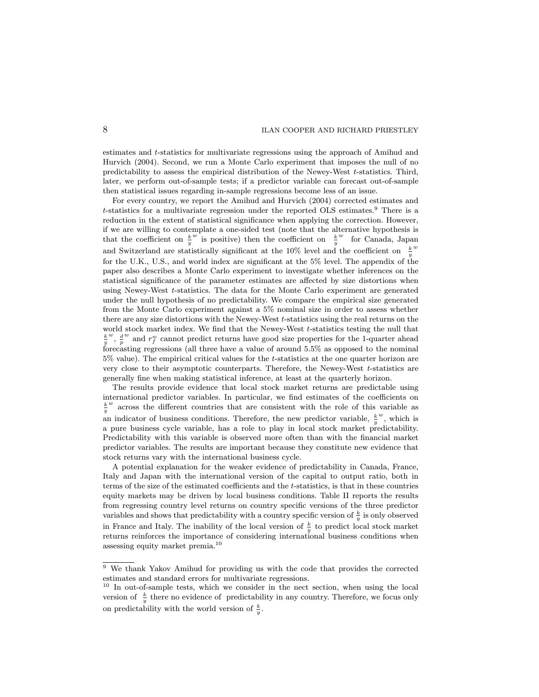estimates and t-statistics for multivariate regressions using the approach of Amihud and Hurvich (2004). Second, we run a Monte Carlo experiment that imposes the null of no predictability to assess the empirical distribution of the Newey-West t-statistics. Third, later, we perform out-of-sample tests; if a predictor variable can forecast out-of-sample then statistical issues regarding in-sample regressions become less of an issue.

For every country, we report the Amihud and Hurvich (2004) corrected estimates and t-statistics for a multivariate regression under the reported OLS estimates.<sup>9</sup> There is a reduction in the extent of statistical significance when applying the correction. However, if we are willing to contemplate a one-sided test (note that the alternative hypothesis is that the coefficient on  $\frac{k}{y}$  $w^{\dagger}$  is positive) then the coefficient on  $\frac{k}{y}$ w for Canada, Japan and Switzerland are statistically significant at the 10% level and the coefficient on  $\frac{k}{y}$ w for the U.K., U.S., and world index are significant at the 5% level. The appendix of the paper also describes a Monte Carlo experiment to investigate whether inferences on the statistical significance of the parameter estimates are affected by size distortions when using Newey-West t-statistics. The data for the Monte Carlo experiment are generated under the null hypothesis of no predictability. We compare the empirical size generated from the Monte Carlo experiment against a 5% nominal size in order to assess whether there are any size distortions with the Newey-West t-statistics using the real returns on the world stock market index. We find that the Newey-West t-statistics testing the null that  $\frac{k}{y}$  $w$ ,  $\frac{d}{p}$  $w$  and  $r_f^w$  cannot predict returns have good size properties for the 1-quarter ahead forecasting regressions (all three have a value of around 5.5% as opposed to the nominal  $5\%$  value). The empirical critical values for the t-statistics at the one quarter horizon are very close to their asymptotic counterparts. Therefore, the Newey-West t-statistics are generally fine when making statistical inference, at least at the quarterly horizon.

The results provide evidence that local stock market returns are predictable using international predictor variables. In particular, we find estimates of the coefficients on  $\frac{k}{y}$  $\omega$  across the different countries that are consistent with the role of this variable as an indicator of business conditions. Therefore, the new predictor variable,  $\frac{k}{y}$  $\omega$ , which is a pure business cycle variable, has a role to play in local stock market predictability. Predictability with this variable is observed more often than with the financial market predictor variables. The results are important because they constitute new evidence that stock returns vary with the international business cycle.

A potential explanation for the weaker evidence of predictability in Canada, France, Italy and Japan with the international version of the capital to output ratio, both in terms of the size of the estimated coefficients and the t-statistics, is that in these countries equity markets may be driven by local business conditions. Table II reports the results from regressing country level returns on country specific versions of the three predictor variables and shows that predictability with a country specific version of  $\frac{k}{y}$  is only observed in France and Italy. The inability of the local version of  $\frac{k}{y}$  to predict local stock market returns reinforces the importance of considering international business conditions when assessing equity market premia.<sup>10</sup>

<sup>9</sup> We thank Yakov Amihud for providing us with the code that provides the corrected estimates and standard errors for multivariate regressions.

<sup>&</sup>lt;sup>10</sup> In out-of-sample tests, which we consider in the nect section, when using the local version of  $\frac{k}{y}$  there no evidence of predictability in any country. Therefore, we focus only on predictability with the world version of  $\frac{k}{y}$ .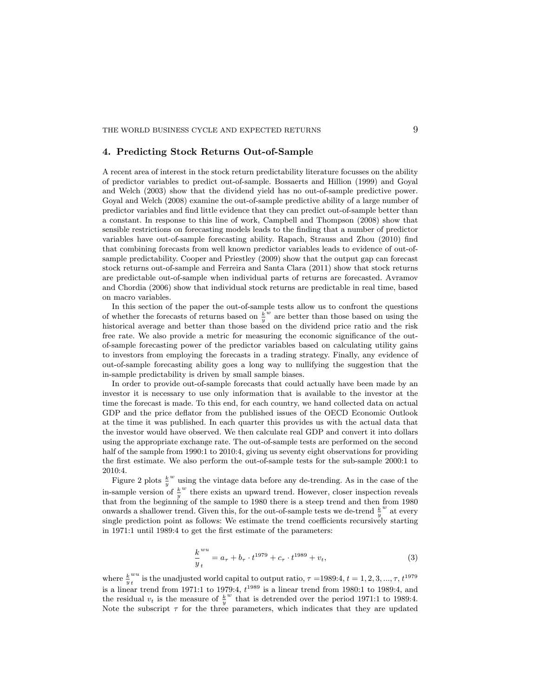## 4. Predicting Stock Returns Out-of-Sample

A recent area of interest in the stock return predictability literature focusses on the ability of predictor variables to predict out-of-sample. Bossaerts and Hillion (1999) and Goyal and Welch (2003) show that the dividend yield has no out-of-sample predictive power. Goyal and Welch (2008) examine the out-of-sample predictive ability of a large number of predictor variables and find little evidence that they can predict out-of-sample better than a constant. In response to this line of work, Campbell and Thompson (2008) show that sensible restrictions on forecasting models leads to the finding that a number of predictor variables have out-of-sample forecasting ability. Rapach, Strauss and Zhou (2010) find that combining forecasts from well known predictor variables leads to evidence of out-ofsample predictability. Cooper and Priestley (2009) show that the output gap can forecast stock returns out-of-sample and Ferreira and Santa Clara (2011) show that stock returns are predictable out-of-sample when individual parts of returns are forecasted. Avramov and Chordia (2006) show that individual stock returns are predictable in real time, based on macro variables.

In this section of the paper the out-of-sample tests allow us to confront the questions of whether the forecasts of returns based on  $\frac{k}{y}$  $w$  are better than those based on using the historical average and better than those based on the dividend price ratio and the risk free rate. We also provide a metric for measuring the economic significance of the outof-sample forecasting power of the predictor variables based on calculating utility gains to investors from employing the forecasts in a trading strategy. Finally, any evidence of out-of-sample forecasting ability goes a long way to nullifying the suggestion that the in-sample predictability is driven by small sample biases.

In order to provide out-of-sample forecasts that could actually have been made by an investor it is necessary to use only information that is available to the investor at the time the forecast is made. To this end, for each country, we hand collected data on actual GDP and the price deflator from the published issues of the OECD Economic Outlook at the time it was published. In each quarter this provides us with the actual data that the investor would have observed. We then calculate real GDP and convert it into dollars using the appropriate exchange rate. The out-of-sample tests are performed on the second half of the sample from 1990:1 to 2010:4, giving us seventy eight observations for providing the first estimate. We also perform the out-of-sample tests for the sub-sample 2000:1 to 2010:4.

Figure 2 plots  $\frac{k}{y}$  $w$  using the vintage data before any de-trending. As in the case of the in-sample version of  $\frac{k}{y}$  $w$  there exists an upward trend. However, closer inspection reveals that from the beginning of the sample to 1980 there is a steep trend and then from 1980 onwards a shallower trend. Given this, for the out-of-sample tests we de-trend  $\frac{k}{y}$  $\omega$  at every single prediction point as follows: We estimate the trend coefficients recursively starting in 1971:1 until 1989:4 to get the first estimate of the parameters:

$$
\frac{k^{wu}}{y_t} = a_\tau + b_\tau \cdot t^{1979} + c_\tau \cdot t^{1989} + v_t,
$$
\n(3)

where  $\frac{k}{y}$ wu  $\sum_{t=0}^{wu}$  is the unadjusted world capital to output ratio,  $\tau =1989:4, t = 1, 2, 3, ..., \tau, t^{1979}$ is a linear trend from 1971:1 to 1979:4,  $t^{1989}$  is a linear trend from 1980:1 to 1989:4, and the residual  $v_t$  is the measure of  $\frac{k}{y}$  $w$  that is detrended over the period 1971:1 to 1989:4. Note the subscript  $\tau$  for the three parameters, which indicates that they are updated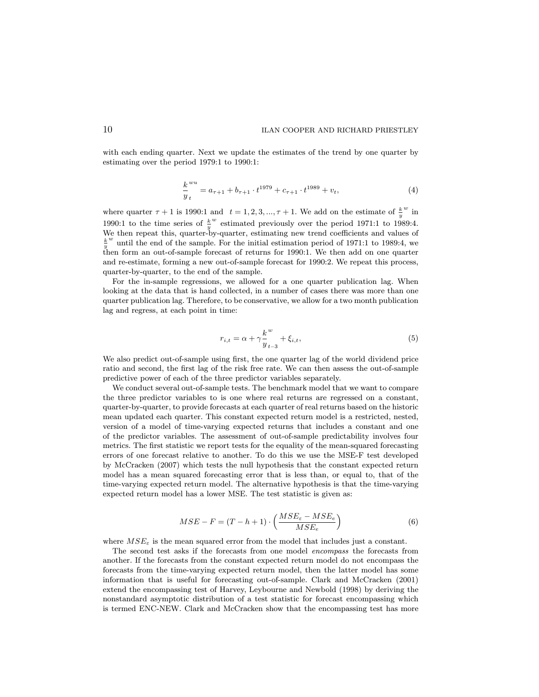with each ending quarter. Next we update the estimates of the trend by one quarter by estimating over the period 1979:1 to 1990:1:

$$
\frac{k^{wu}}{y_t} = a_{\tau+1} + b_{\tau+1} \cdot t^{1979} + c_{\tau+1} \cdot t^{1989} + v_t,
$$
\n(4)

where quarter  $\tau + 1$  is 1990:1 and  $t = 1, 2, 3, ..., \tau + 1$ . We add on the estimate of  $\frac{k}{y}$  $\sum_{i=1}^{w}$ 1990:1 to the time series of  $\frac{k}{y}$  $w$  estimated previously over the period 1971:1 to 1989:4. We then repeat this, quarter-by-quarter, estimating new trend coefficients and values of  $\frac{k}{y}$  $^w$  until the end of the sample. For the initial estimation period of 1971:1 to 1989:4, we then form an out-of-sample forecast of returns for 1990:1. We then add on one quarter and re-estimate, forming a new out-of-sample forecast for 1990:2. We repeat this process, quarter-by-quarter, to the end of the sample.

For the in-sample regressions, we allowed for a one quarter publication lag. When looking at the data that is hand collected, in a number of cases there was more than one quarter publication lag. Therefore, to be conservative, we allow for a two month publication lag and regress, at each point in time:

$$
r_{i,t} = \alpha + \gamma \frac{k^w}{y_{t-3}} + \xi_{i,t},
$$
\n(5)

We also predict out-of-sample using first, the one quarter lag of the world dividend price ratio and second, the first lag of the risk free rate. We can then assess the out-of-sample predictive power of each of the three predictor variables separately.

We conduct several out-of-sample tests. The benchmark model that we want to compare the three predictor variables to is one where real returns are regressed on a constant, quarter-by-quarter, to provide forecasts at each quarter of real returns based on the historic mean updated each quarter. This constant expected return model is a restricted, nested, version of a model of time-varying expected returns that includes a constant and one of the predictor variables: The assessment of out-of-sample predictability involves four metrics. The first statistic we report tests for the equality of the mean-squared forecasting errors of one forecast relative to another. To do this we use the MSE-F test developed by McCracken (2007) which tests the null hypothesis that the constant expected return model has a mean squared forecasting error that is less than, or equal to, that of the time-varying expected return model. The alternative hypothesis is that the time-varying expected return model has a lower MSE. The test statistic is given as:

$$
MSE - F = (T - h + 1) \cdot \left(\frac{MSE_{\varepsilon} - MSE_{e}}{MSE_{e}}\right)
$$
 (6)

where  $MSE_{\varepsilon}$  is the mean squared error from the model that includes just a constant.

The second test asks if the forecasts from one model encompass the forecasts from another. If the forecasts from the constant expected return model do not encompass the forecasts from the time-varying expected return model, then the latter model has some information that is useful for forecasting out-of-sample. Clark and McCracken (2001) extend the encompassing test of Harvey, Leybourne and Newbold (1998) by deriving the nonstandard asymptotic distribution of a test statistic for forecast encompassing which is termed ENC-NEW. Clark and McCracken show that the encompassing test has more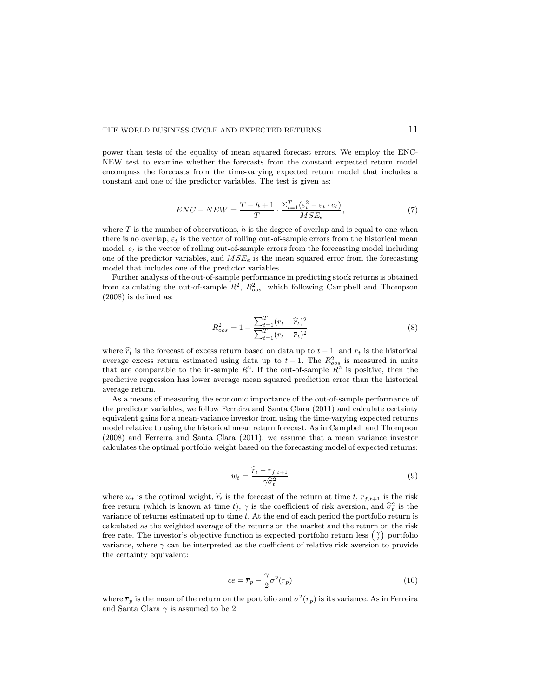power than tests of the equality of mean squared forecast errors. We employ the ENC-NEW test to examine whether the forecasts from the constant expected return model encompass the forecasts from the time-varying expected return model that includes a constant and one of the predictor variables: The test is given as:

$$
ENC - NEW = \frac{T - h + 1}{T} \cdot \frac{\Sigma_{t=1}^{T}(\varepsilon_t^2 - \varepsilon_t \cdot e_t)}{MSE_e},
$$
\n<sup>(7)</sup>

where  $T$  is the number of observations, h is the degree of overlap and is equal to one when there is no overlap,  $\varepsilon_t$  is the vector of rolling out-of-sample errors from the historical mean model,  $e_t$  is the vector of rolling out-of-sample errors from the forecasting model including one of the predictor variables, and  $MSE_e$  is the mean squared error from the forecasting model that includes one of the predictor variables.

Further analysis of the out-of-sample performance in predicting stock returns is obtained from calculating the out-of-sample  $R^2$ ,  $R^2_{\text{cos}}$ , which following Campbell and Thompson  $(2008)$  is defined as:

$$
R_{oos}^2 = 1 - \frac{\sum_{t=1}^T (r_t - \hat{r}_t)^2}{\sum_{t=1}^T (r_t - \bar{r}_t)^2}
$$
(8)

where  $\hat{r}_t$  is the forecast of excess return based on data up to  $t - 1$ , and  $\bar{r}_t$  is the historical average excess return estimated using data up to  $t-1$ . The  $R^2_{\text{oos}}$  is measured in units that are comparable to the in-sample  $R^2$ . If the out-of-sample  $R^2$  is positive, then the predictive regression has lower average mean squared prediction error than the historical average return.

As a means of measuring the economic importance of the out-of-sample performance of the predictor variables, we follow Ferreira and Santa Clara (2011) and calculate certainty equivalent gains for a mean-variance investor from using the time-varying expected returns model relative to using the historical mean return forecast. As in Campbell and Thompson (2008) and Ferreira and Santa Clara (2011), we assume that a mean variance investor calculates the optimal portfolio weight based on the forecasting model of expected returns:

$$
w_t = \frac{\widehat{r}_t - r_{f,t+1}}{\gamma \widehat{\sigma}_t^2} \tag{9}
$$

where  $w_t$  is the optimal weight,  $\hat{r}_t$  is the forecast of the return at time t,  $r_{f,t+1}$  is the risk free return (which is known at time t),  $\gamma$  is the coefficient of risk aversion, and  $\hat{\sigma}_t^2$  is the continuous of patture estimated up to time t. At the end of seek period the partfolio patture is variance of returns estimated up to time t: At the end of each period the portfolio return is calculated as the weighted average of the returns on the market and the return on the risk free rate. The investor's objective function is expected portfolio return less  $(\frac{\gamma}{2})$  portfolio variance, where  $\gamma$  can be interpreted as the coefficient of relative risk aversion to provide the certainty equivalent:

$$
ce = \overline{r}_p - \frac{\gamma}{2}\sigma^2(r_p)
$$
\n(10)

where  $\bar{r}_p$  is the mean of the return on the portfolio and  $\sigma^2(r_p)$  is its variance. As in Ferreira and Santa Clara  $\gamma$  is assumed to be 2.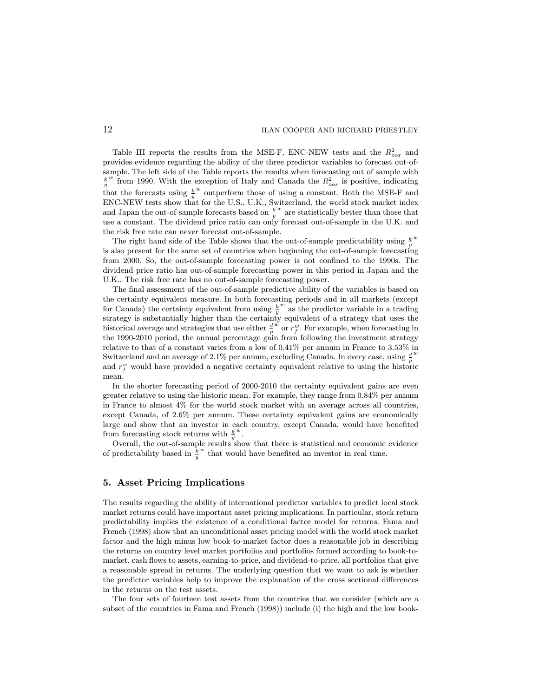Table III reports the results from the MSE-F, ENC-NEW tests and the  $R_{cos}^2$  and provides evidence regarding the ability of the three predictor variables to forecast out-ofsample. The left side of the Table reports the results when forecasting out of sample with  $\frac{k}{v}^w$  from 1990. With the exception of Italy and Canada the  $R_{\text{cos}}^2$  is positive, indicating  $y$  from 1550. With the  $\stackrel{w}{\sim}$  outperform those of using a constant. Both the MSE-F and ENC-NEW tests show that for the U.S., U.K., Switzerland, the world stock market index and Japan the out-of-sample forecasts based on  $\frac{k}{y}$  $w$  are statistically better than those that use a constant. The dividend price ratio can only forecast out-of-sample in the U.K. and the risk free rate can never forecast out-of-sample.

The right hand side of the Table shows that the out-of-sample predictability using  $\frac{k}{y}$ w is also present for the same set of countries when beginning the out-of-sample forecasting from 2000. So, the out-of-sample forecasting power is not confined to the 1990s. The dividend price ratio has out-of-sample forecasting power in this period in Japan and the U.K.. The risk free rate has no out-of-sample forecasting power.

The final assessment of the out-of-sample predictive ability of the variables is based on the certainty equivalent measure. In both forecasting periods and in all markets (except for Canada) the certainty equivalent from using  $\frac{k}{y}$  $\omega$  as the predictor variable in a trading strategy is substantially higher than the certainty equivalent of a strategy that uses the historical average and strategies that use either  $\frac{d}{p}$  $\overline{w}$  or  $r_f^w$ . For example, when forecasting in the 1990-2010 period, the annual percentage gain from following the investment strategy relative to that of a constant varies from a low of 0.41% per annum in France to 3.53% in Switzerland and an average of 2.1% per annum, excluding Canada. In every case, using  $\frac{d}{p}$ w and  $r_f^w$  would have provided a negative certainty equivalent relative to using the historic mean.

In the shorter forecasting period of 2000-2010 the certainty equivalent gains are even greater relative to using the historic mean. For example, they range from 0.84% per annum in France to almost 4% for the world stock market with an average across all countries, except Canada, of 2.6% per annum. These certainty equivalent gains are economically large and show that an investor in each country, except Canada, would have benefited from forecasting stock returns with  $\frac{k}{y}$  $\frac{w}{\cdot}$ 

Overall, the out-of-sample results show that there is statistical and economic evidence of predictability based in  $\frac{k}{y}$  $\real^w$  that would have benefited an investor in real time.

#### 5. Asset Pricing Implications

The results regarding the ability of international predictor variables to predict local stock market returns could have important asset pricing implications. In particular, stock return predictability implies the existence of a conditional factor model for returns. Fama and French (1998) show that an unconditional asset pricing model with the world stock market factor and the high minus low book-to-market factor does a reasonable job in describing the returns on country level market portfolios and portfolios formed according to book-tomarket, cash flows to assets, earning-to-price, and dividend-to-price, all portfolios that give a reasonable spread in returns. The underlying question that we want to ask is whether the predictor variables help to improve the explanation of the cross sectional differences in the returns on the test assets.

The four sets of fourteen test assets from the countries that we consider (which are a subset of the countries in Fama and French (1998)) include (i) the high and the low book-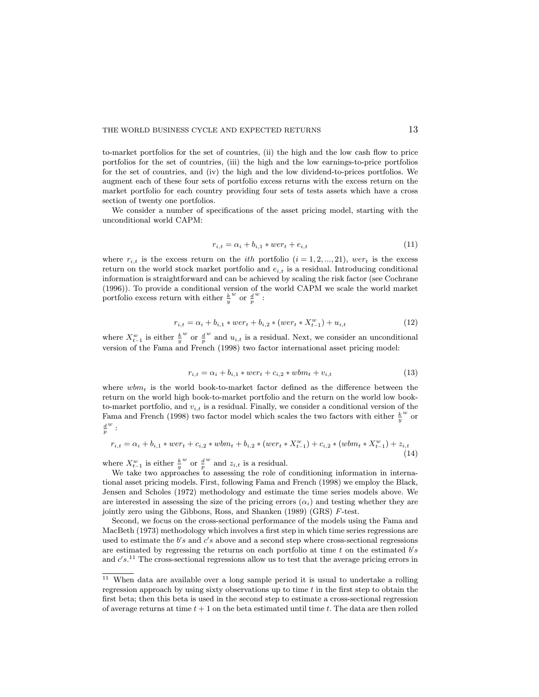to-market portfolios for the set of countries, (ii) the high and the low cash flow to price portfolios for the set of countries, (iii) the high and the low earnings-to-price portfolios for the set of countries, and (iv) the high and the low dividend-to-prices portfolios. We augment each of these four sets of portfolio excess returns with the excess return on the market portfolio for each country providing four sets of tests assets which have a cross section of twenty one portfolios.

We consider a number of specifications of the asset pricing model, starting with the unconditional world CAPM:

$$
r_{i,t} = \alpha_i + b_{i,1} * wer_t + e_{i,t}
$$
\n
$$
(11)
$$

where  $r_{i,t}$  is the excess return on the *ith* portfolio  $(i = 1, 2, ..., 21)$ , wer<sub>t</sub> is the excess return on the world stock market portfolio and  $e_{i,t}$  is a residual. Introducing conditional information is straightforward and can be achieved by scaling the risk factor (see Cochrane (1996)). To provide a conditional version of the world CAPM we scale the world market portfolio excess return with either  $\frac{k}{y}$  $\frac{w}{p}$  or  $\frac{d}{p}$  $\frac{w}{\cdot}$ 

$$
r_{i,t} = \alpha_i + b_{i,1} * wer_t + b_{i,2} * (wer_t * X_{t-1}^w) + u_{i,t}
$$
\n(12)

where  $X_{t-1}^w$  is either  $\frac{k}{y}$  $\frac{w}{p}$  or  $\frac{d}{p}$  $w$  and  $u_{i,t}$  is a residual. Next, we consider an unconditional version of the Fama and French (1998) two factor international asset pricing model:

$$
r_{i,t} = \alpha_i + b_{i,1} * wer_t + c_{i,2} * wbm_t + v_{i,t}
$$
\n(13)

where  $wbm_t$  is the world book-to-market factor defined as the difference between the return on the world high book-to-market portfolio and the return on the world low bookto-market portfolio, and  $v_{i,t}$  is a residual. Finally, we consider a conditional version of the Fama and French (1998) two factor model which scales the two factors with either  $\frac{k}{y}$ w or  $\frac{d}{p}$  $\frac{w}{\cdot}$ 

$$
r_{i,t} = \alpha_i + b_{i,1} * wer_t + c_{i,2} * wbm_t + b_{i,2} * (wer_t * X_{t-1}^w) + c_{i,2} * (wbm_t * X_{t-1}^w) + z_{i,t}
$$
\n(14)

where  $X_{t-1}^w$  is either  $\frac{k}{y}$  $\frac{w}{p}$  or  $\frac{d}{p}$  $w$  and  $z_{i,t}$  is a residual.

We take two approaches to assessing the role of conditioning information in international asset pricing models. First, following Fama and French (1998) we employ the Black, Jensen and Scholes (1972) methodology and estimate the time series models above. We are interested in assessing the size of the pricing errors  $(\alpha_i)$  and testing whether they are jointly zero using the Gibbons, Ross, and Shanken (1989) (GRS) F-test.

Second, we focus on the cross-sectional performance of the models using the Fama and MacBeth (1973) methodology which involves a first step in which time series regressions are used to estimate the  $b's$  and  $c's$  above and a second step where cross-sectional regressions are estimated by regressing the returns on each portfolio at time  $t$  on the estimated  $b's$ and  $c's$ .<sup>11</sup> The cross-sectional regressions allow us to test that the average pricing errors in

 $11$  When data are available over a long sample period it is usual to undertake a rolling regression approach by using sixty observations up to time  $t$  in the first step to obtain the first beta; then this beta is used in the second step to estimate a cross-sectional regression of average returns at time  $t + 1$  on the beta estimated until time t. The data are then rolled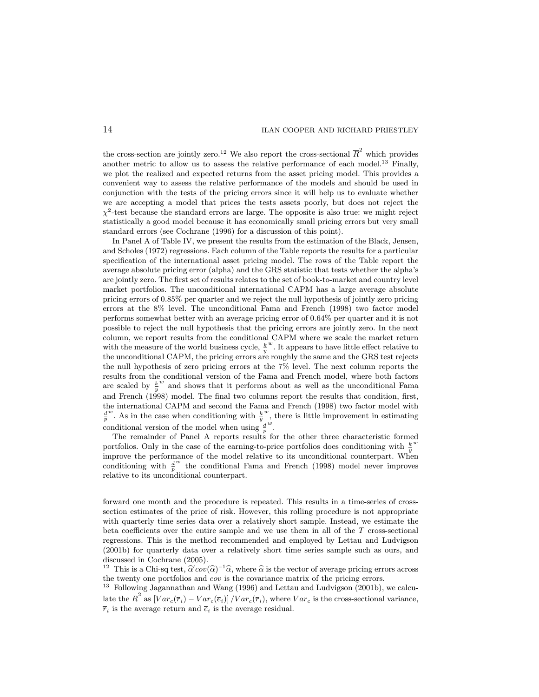the cross-section are jointly zero.<sup>12</sup> We also report the cross-sectional  $\overline{R}^2$  which provides another metric to allow us to assess the relative performance of each model.<sup>13</sup> Finally, we plot the realized and expected returns from the asset pricing model. This provides a convenient way to assess the relative performance of the models and should be used in conjunction with the tests of the pricing errors since it will help us to evaluate whether we are accepting a model that prices the tests assets poorly, but does not reject the  $\chi^2$ -test because the standard errors are large. The opposite is also true: we might reject statistically a good model because it has economically small pricing errors but very small standard errors (see Cochrane (1996) for a discussion of this point).

In Panel A of Table IV, we present the results from the estimation of the Black, Jensen, and Scholes (1972) regressions. Each column of the Table reports the results for a particular specication of the international asset pricing model. The rows of the Table report the average absolute pricing error (alpha) and the GRS statistic that tests whether the alpha's are jointly zero. The first set of results relates to the set of book-to-market and country level market portfolios. The unconditional international CAPM has a large average absolute pricing errors of 0.85% per quarter and we reject the null hypothesis of jointly zero pricing errors at the 8% level. The unconditional Fama and French (1998) two factor model performs somewhat better with an average pricing error of 0.64% per quarter and it is not possible to reject the null hypothesis that the pricing errors are jointly zero. In the next column, we report results from the conditional CAPM where we scale the market return with the measure of the world business cycle,  $\frac{k}{y}$  $\omega$ . It appears to have little effect relative to the unconditional CAPM, the pricing errors are roughly the same and the GRS test rejects the null hypothesis of zero pricing errors at the 7% level. The next column reports the results from the conditional version of the Fama and French model, where both factors are scaled by  $\frac{k}{y}$  $w$  and shows that it performs about as well as the unconditional Fama and French (1998) model. The final two columns report the results that condition, first, the international CAPM and second the Fama and French (1998) two factor model with  $\frac{d}{p}$ <sup>*w*</sup>. As in the case when conditioning with  $\frac{k}{y}$  $\mu^w$ , there is little improvement in estimating conditional version of the model when using  $\frac{d}{p}$  $\sum$ .

The remainder of Panel A reports results for the other three characteristic formed portfolios. Only in the case of the earning-to-price portfolios does conditioning with  $\frac{k}{y}$ w improve the performance of the model relative to its unconditional counterpart. When conditioning with  $\frac{d}{p}$ w the conditional Fama and French (1998) model never improves relative to its unconditional counterpart.

forward one month and the procedure is repeated. This results in a time-series of crosssection estimates of the price of risk. However, this rolling procedure is not appropriate with quarterly time series data over a relatively short sample. Instead, we estimate the beta coefficients over the entire sample and we use them in all of the  $T$  cross-sectional regressions. This is the method recommended and employed by Lettau and Ludvigson (2001b) for quarterly data over a relatively short time series sample such as ours, and discussed in Cochrane (2005).

<sup>&</sup>lt;sup>12</sup> This is a Chi-sq test,  $\hat{\alpha}' cov(\hat{\alpha})^{-1}\hat{\alpha}$ , where  $\hat{\alpha}$  is the vector of average pricing errors across the twenty one portfolios and cov is the covariance matrix of the pricing errors.

<sup>&</sup>lt;sup>13</sup> Following Jagannathan and Wang (1996) and Lettau and Ludvigson (2001b), we calcu-

late the  $\overline{R}^2$  as  $[Var_c(\overline{r}_i) - Var_c(\overline{e}_i)] / Var_c(\overline{r}_i)$ , where  $Var_c$  is the cross-sectional variance,  $\overline{r}_i$  is the average return and  $\overline{e}_i$  is the average residual.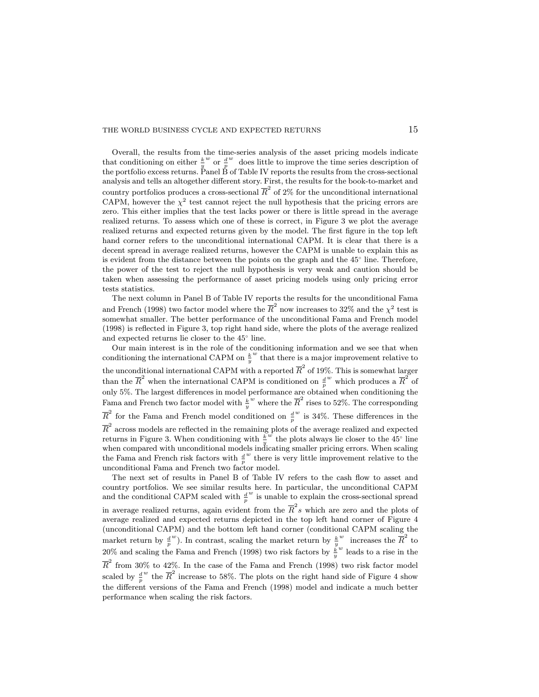Overall, the results from the time-series analysis of the asset pricing models indicate that conditioning on either  $\frac{k}{y}$  $\frac{w}{p}$  or  $\frac{d}{p}$ w does little to improve the time series description of the portfolio excess returns. Panel B of Table IV reports the results from the cross-sectional analysis and tells an altogether different story. First, the results for the book-to-market and country portfolios produces a cross-sectional  $\overline{R}^2$  of 2% for the unconditional international CAPM, however the  $\chi^2$  test cannot reject the null hypothesis that the pricing errors are zero. This either implies that the test lacks power or there is little spread in the average realized returns. To assess which one of these is correct, in Figure 3 we plot the average realized returns and expected returns given by the model. The first figure in the top left hand corner refers to the unconditional international CAPM. It is clear that there is a decent spread in average realized returns, however the CAPM is unable to explain this as is evident from the distance between the points on the graph and the 45 line. Therefore, the power of the test to reject the null hypothesis is very weak and caution should be taken when assessing the performance of asset pricing models using only pricing error tests statistics.

The next column in Panel B of Table IV reports the results for the unconditional Fama and French (1998) two factor model where the  $\overline{R}^2$  now increases to 32% and the  $\chi^2$  test is somewhat smaller. The better performance of the unconditional Fama and French model (1998) is reflected in Figure 3, top right hand side, where the plots of the average realized and expected returns lie closer to the 45 line.

Our main interest is in the role of the conditioning information and we see that when conditioning the international CAPM on  $\frac{k}{y}$  $w$  that there is a major improvement relative to the unconditional international CAPM with a reported  $\overline{R}^2$  of 19%. This is somewhat larger than the  $\overline{R}^2$  when the international CAPM is conditioned on  $\frac{d}{p}$  $w$  which produces a  $\overline{R}^2$  of only 5%. The largest differences in model performance are obtained when conditioning the Fama and French two factor model with  $\frac{k}{y}$ w where the  $\overline{R}^2$  rises to 52%. The corresponding  $\overline{R}^2$  for the Fama and French model conditioned on  $\frac{d}{p}$  $w$  is 34%. These differences in the  $\overline{R}^2$  across models are reflected in the remaining plots of the average realized and expected returns in Figure 3. When conditioning with  $\frac{k}{y}$  $\overrightarrow{w}$  the plots always lie closer to the 45<sup>°</sup> line when compared with unconditional models indicating smaller pricing errors. When scaling the Fama and French risk factors with  $\frac{d}{p}$ w there is very little improvement relative to the unconditional Fama and French two factor model.

The next set of results in Panel B of Table IV refers to the cash flow to asset and country portfolios. We see similar results here. In particular, the unconditional CAPM and the conditional CAPM scaled with  $\frac{d}{p}$ w is unable to explain the cross-sectional spread in average realized returns, again evident from the  $\overline{R}^2s$  which are zero and the plots of average realized and expected returns depicted in the top left hand corner of Figure 4 (unconditional CAPM) and the bottom left hand corner (conditional CAPM scaling the market return by  $\frac{d}{p}$ <sup>*w*</sup>). In contrast, scaling the market return by  $\frac{k}{y}$  $w$  increases the  $\overline{R}^2$  to  $20\%$  and scaling the Fama and French (1998) two risk factors by  $\frac{k}{y}$  $^{\rm w}$  leads to a rise in the  $\overline{R}^2$  from 30% to 42%. In the case of the Fama and French (1998) two risk factor model scaled by  $\frac{d}{p}$ <sup>w</sup> the  $\overline{R}^2$  increase to 58%. The plots on the right hand side of Figure 4 show the different versions of the Fama and French (1998) model and indicate a much better performance when scaling the risk factors.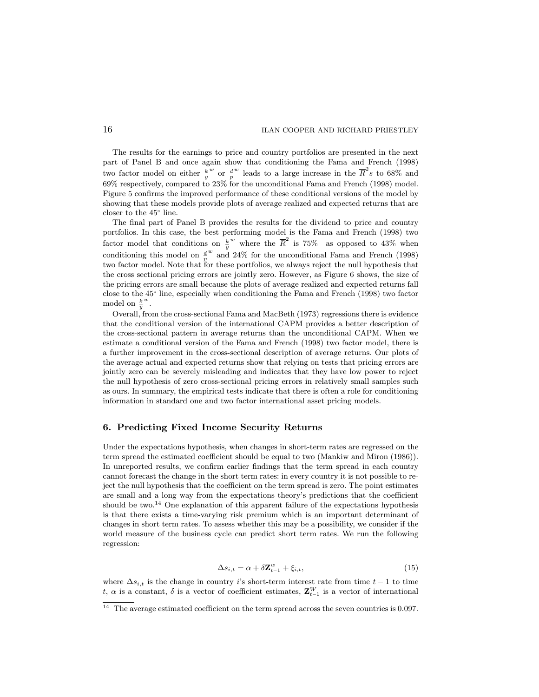The results for the earnings to price and country portfolios are presented in the next part of Panel B and once again show that conditioning the Fama and French (1998) two factor model on either  $\frac{k}{y}$  $\frac{w}{p}$  or  $\frac{d}{p}$  $w$  leads to a large increase in the  $\overline{R}^2$ s to 68% and 69% respectively, compared to 23% for the unconditional Fama and French (1998) model. Figure 5 confirms the improved performance of these conditional versions of the model by showing that these models provide plots of average realized and expected returns that are closer to the 45 line.

The final part of Panel B provides the results for the dividend to price and country portfolios. In this case, the best performing model is the Fama and French (1998) two factor model that conditions on  $\frac{k}{y}$ w where the  $\overline{R}^2$  is 75% as opposed to 43% when conditioning this model on  $\frac{d}{p}$  $w$  and 24% for the unconditional Fama and French (1998) two factor model. Note that for these portfolios, we always reject the null hypothesis that the cross sectional pricing errors are jointly zero. However, as Figure 6 shows, the size of the pricing errors are small because the plots of average realized and expected returns fall close to the 45 line, especially when conditioning the Fama and French (1998) two factor model on  $\frac{k}{y}$  $\frac{w}{\cdot}$ 

Overall, from the cross-sectional Fama and MacBeth (1973) regressions there is evidence that the conditional version of the international CAPM provides a better description of the cross-sectional pattern in average returns than the unconditional CAPM. When we estimate a conditional version of the Fama and French (1998) two factor model, there is a further improvement in the cross-sectional description of average returns. Our plots of the average actual and expected returns show that relying on tests that pricing errors are jointly zero can be severely misleading and indicates that they have low power to reject the null hypothesis of zero cross-sectional pricing errors in relatively small samples such as ours. In summary, the empirical tests indicate that there is often a role for conditioning information in standard one and two factor international asset pricing models.

#### 6. Predicting Fixed Income Security Returns

Under the expectations hypothesis, when changes in short-term rates are regressed on the term spread the estimated coefficient should be equal to two (Mankiw and Miron (1986)). In unreported results, we confirm earlier findings that the term spread in each country cannot forecast the change in the short term rates: in every country it is not possible to reject the null hypothesis that the coefficient on the term spread is zero. The point estimates are small and a long way from the expectations theory's predictions that the coefficient should be two.<sup>14</sup> One explanation of this apparent failure of the expectations hypothesis is that there exists a time-varying risk premium which is an important determinant of changes in short term rates. To assess whether this may be a possibility, we consider if the world measure of the business cycle can predict short term rates. We run the following regression:

$$
\Delta s_{i,t} = \alpha + \delta \mathbf{Z}_{t-1}^w + \xi_{i,t},\tag{15}
$$

where  $\Delta s_{i,t}$  is the change in country i's short-term interest rate from time  $t-1$  to time t,  $\alpha$  is a constant,  $\delta$  is a vector of coefficient estimates,  $\mathbf{Z}_{t-1}^W$  is a vector of international

 $^{14}\,$  The average estimated coefficient on the term spread across the seven countries is 0.097.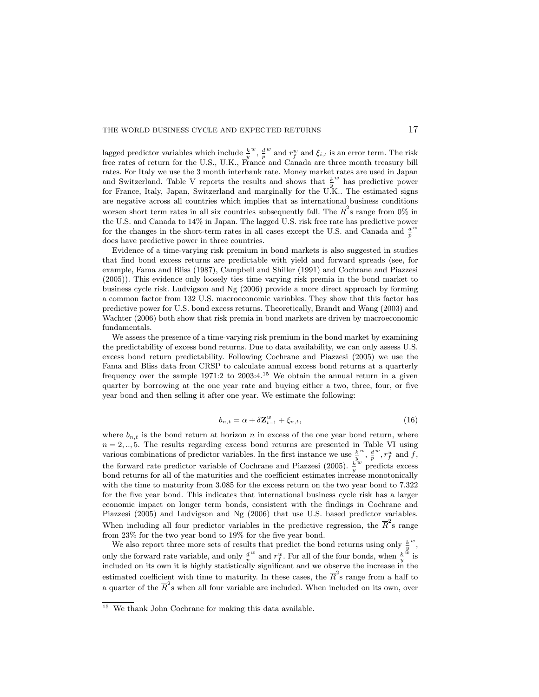lagged predictor variables which include  $\frac{k}{y}$  $\frac{w}{p}$ ,  $\frac{d}{p}$  $w$  and  $r_f^w$  and  $\xi_{i,t}$  is an error term. The risk free rates of return for the U.S., U.K., France and Canada are three month treasury bill rates. For Italy we use the 3 month interbank rate. Money market rates are used in Japan and Switzerland. Table V reports the results and shows that  $\frac{k}{y}$ w has predictive power for France, Italy, Japan, Switzerland and marginally for the U.K.. The estimated signs are negative across all countries which implies that as international business conditions worsen short term rates in all six countries subsequently fall. The  $\overline{R}^2$ s range from 0% in the U.S. and Canada to 14% in Japan. The lagged U.S. risk free rate has predictive power for the changes in the short-term rates in all cases except the U.S. and Canada and  $\frac{d}{p}$ w does have predictive power in three countries.

Evidence of a time-varying risk premium in bond markets is also suggested in studies that find bond excess returns are predictable with yield and forward spreads (see, for example, Fama and Bliss (1987), Campbell and Shiller (1991) and Cochrane and Piazzesi (2005)). This evidence only loosely ties time varying risk premia in the bond market to business cycle risk. Ludvigson and Ng (2006) provide a more direct approach by forming a common factor from 132 U.S. macroeconomic variables. They show that this factor has predictive power for U.S. bond excess returns. Theoretically, Brandt and Wang (2003) and Wachter (2006) both show that risk premia in bond markets are driven by macroeconomic fundamentals.

We assess the presence of a time-varying risk premium in the bond market by examining the predictability of excess bond returns. Due to data availability, we can only assess U.S. excess bond return predictability. Following Cochrane and Piazzesi (2005) we use the Fama and Bliss data from CRSP to calculate annual excess bond returns at a quarterly frequency over the sample  $1971:2$  to  $2003:4^{15}$  We obtain the annual return in a given quarter by borrowing at the one year rate and buying either a two, three, four, or five year bond and then selling it after one year. We estimate the following:

$$
b_{n,t} = \alpha + \delta \mathbf{Z}_{t-1}^w + \xi_{n,t},\tag{16}
$$

where  $b_{n,t}$  is the bond return at horizon n in excess of the one year bond return, where  $n = 2, \ldots, 5$ . The results regarding excess bond returns are presented in Table VI using various combinations of predictor variables. In the first instance we use  $\frac{k}{y}$  $\frac{w}{p}$ ,  $\frac{d}{p}$  $w, r_f^w$  and  $f$ , the forward rate predictor variable of Cochrane and Piazzesi (2005).  $\frac{k}{y}$ w predicts excess bond returns for all of the maturities and the coefficient estimates increase monotonically with the time to maturity from 3.085 for the excess return on the two year bond to  $7.322$ for the five year bond. This indicates that international business cycle risk has a larger economic impact on longer term bonds, consistent with the findings in Cochrane and Piazzesi (2005) and Ludvigson and Ng (2006) that use U.S. based predictor variables. When including all four predictor variables in the predictive regression, the  $\overline{R}^2$ s range from  $23\%$  for the two year bond to  $19\%$  for the five year bond.

We also report three more sets of results that predict the bond returns using only  $\frac{k}{y}$  $\frac{w}{\cdot}$ only the forward rate variable, and only  $\frac{d}{p}$  $w$  and  $r_f^w$ . For all of the four bonds, when  $\frac{k}{y}$  $\frac{w}{\text{is}}$ included on its own it is highly statistically significant and we observe the increase in the estimated coefficient with time to maturity. In these cases, the  $\overline{R}^2$ s range from a half to a quarter of the  $\overline{R}^2$ s when all four variable are included. When included on its own, over

<sup>&</sup>lt;sup>15</sup> We thank John Cochrane for making this data available.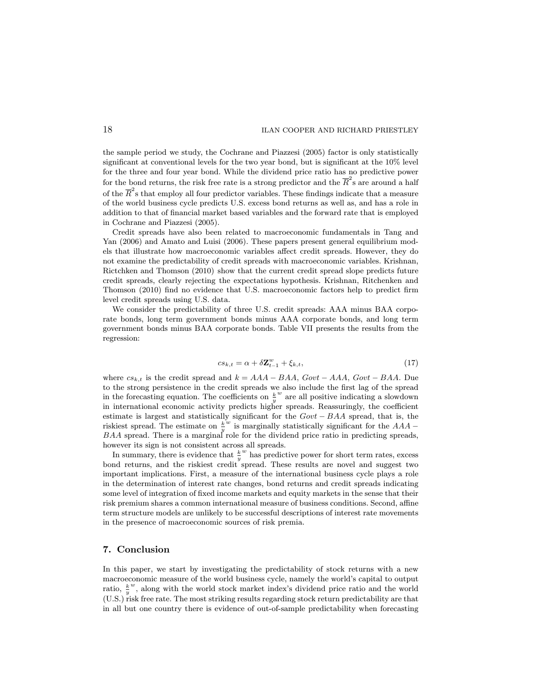the sample period we study, the Cochrane and Piazzesi (2005) factor is only statistically signicant at conventional levels for the two year bond, but is signicant at the 10% level for the three and four year bond. While the dividend price ratio has no predictive power for the bond returns, the risk free rate is a strong predictor and the  $\overline{R}^2\mathrm{s}$  are around a half of the  $\overline{R}^2$ s that employ all four predictor variables. These findings indicate that a measure of the world business cycle predicts U.S. excess bond returns as well as, and has a role in addition to that of nancial market based variables and the forward rate that is employed in Cochrane and Piazzesi (2005).

Credit spreads have also been related to macroeconomic fundamentals in Tang and Yan (2006) and Amato and Luisi (2006). These papers present general equilibrium models that illustrate how macroeconomic variables affect credit spreads. However, they do not examine the predictability of credit spreads with macroeconomic variables. Krishnan, Rictchken and Thomson (2010) show that the current credit spread slope predicts future credit spreads, clearly rejecting the expectations hypothesis. Krishnan, Ritchenken and Thomson (2010) find no evidence that U.S. macroeconomic factors help to predict firm level credit spreads using U.S. data.

We consider the predictability of three U.S. credit spreads: AAA minus BAA corporate bonds, long term government bonds minus AAA corporate bonds, and long term government bonds minus BAA corporate bonds. Table VII presents the results from the regression:

$$
cs_{k,t} = \alpha + \delta \mathbf{Z}_{t-1}^w + \xi_{k,t},\tag{17}
$$

where  $cs_{k,t}$  is the credit spread and  $k = AAA - BAA$ ,  $Govt - AAA$ ,  $Govt - BAA$ . Due to the strong persistence in the credit spreads we also include the first lag of the spread in the forecasting equation. The coefficients on  $\frac{k}{y}$ w are all positive indicating a slowdown in international economic activity predicts higher spreads. Reassuringly, the coefficient estimate is largest and statistically significant for the  $Govt - BAA$  spread, that is, the riskiest spread. The estimate on  $\frac{k}{y}$  $\omega$  is marginally statistically significant for the  $AAA$  –  $BAA$  spread. There is a marginal role for the dividend price ratio in predicting spreads, however its sign is not consistent across all spreads.

In summary, there is evidence that  $\frac{k}{y}$ w has predictive power for short term rates, excess bond returns, and the riskiest credit spread. These results are novel and suggest two important implications. First, a measure of the international business cycle plays a role in the determination of interest rate changes, bond returns and credit spreads indicating some level of integration of fixed income markets and equity markets in the sense that their risk premium shares a common international measure of business conditions. Second, affine term structure models are unlikely to be successful descriptions of interest rate movements in the presence of macroeconomic sources of risk premia.

## 7. Conclusion

In this paper, we start by investigating the predictability of stock returns with a new macroeconomic measure of the world business cycle, namely the world's capital to output ratio,  $\frac{k}{y}$ w ; along with the world stock market index's dividend price ratio and the world (U.S.) risk free rate. The most striking results regarding stock return predictability are that in all but one country there is evidence of out-of-sample predictability when forecasting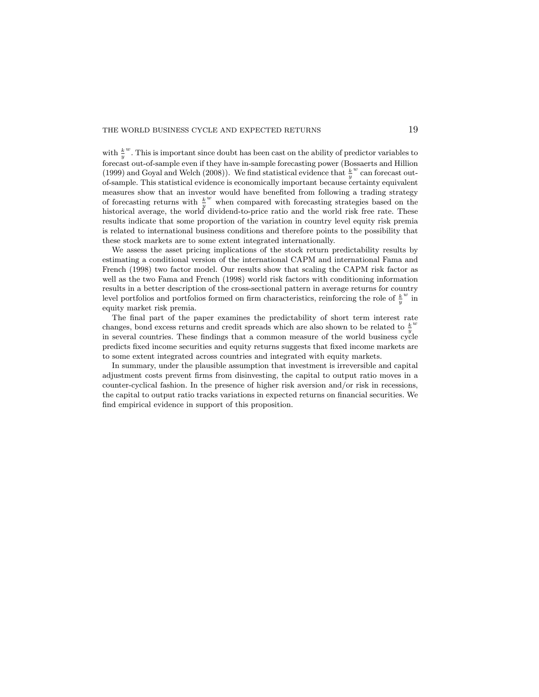with  $\frac{k}{y}$  $\mu^w$ . This is important since doubt has been cast on the ability of predictor variables to forecast out-of-sample even if they have in-sample forecasting power (Bossaerts and Hillion (1999) and Goyal and Welch (2008)). We find statistical evidence that  $\frac{k}{y}$  $w$  can forecast outof-sample. This statistical evidence is economically important because certainty equivalent measures show that an investor would have benefited from following a trading strategy of forecasting returns with  $\frac{k}{y}$ w when compared with forecasting strategies based on the historical average, the world dividend-to-price ratio and the world risk free rate. These results indicate that some proportion of the variation in country level equity risk premia is related to international business conditions and therefore points to the possibility that these stock markets are to some extent integrated internationally.

We assess the asset pricing implications of the stock return predictability results by estimating a conditional version of the international CAPM and international Fama and French (1998) two factor model. Our results show that scaling the CAPM risk factor as well as the two Fama and French (1998) world risk factors with conditioning information results in a better description of the cross-sectional pattern in average returns for country level portfolios and portfolios formed on firm characteristics, reinforcing the role of  $\frac{k}{y}$  $\sum_{i=1}^{n}$ equity market risk premia.

The final part of the paper examines the predictability of short term interest rate changes, bond excess returns and credit spreads which are also shown to be related to  $\frac{k}{y}$ w in several countries. These findings that a common measure of the world business cycle predicts fixed income securities and equity returns suggests that fixed income markets are to some extent integrated across countries and integrated with equity markets.

In summary, under the plausible assumption that investment is irreversible and capital adjustment costs prevent firms from disinvesting, the capital to output ratio moves in a counter-cyclical fashion. In the presence of higher risk aversion and/or risk in recessions, the capital to output ratio tracks variations in expected returns on financial securities. We find empirical evidence in support of this proposition.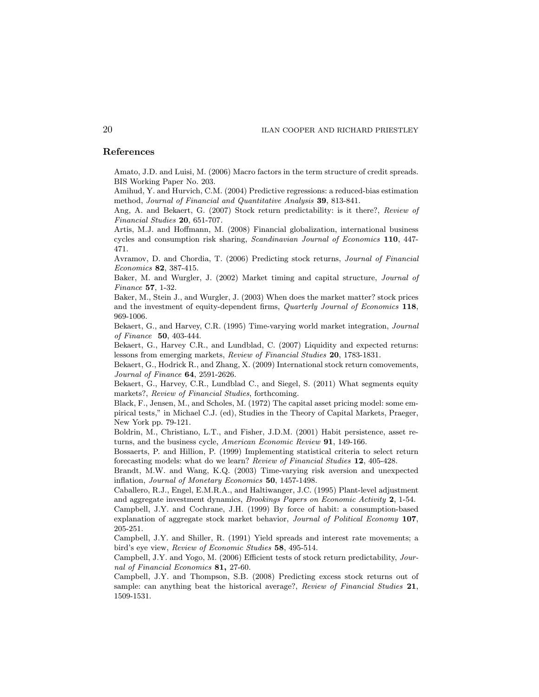## References

Amato, J.D. and Luisi, M. (2006) Macro factors in the term structure of credit spreads. BIS Working Paper No. 203.

Amihud, Y. and Hurvich, C.M. (2004) Predictive regressions: a reduced-bias estimation method, Journal of Financial and Quantitative Analysis 39, 813-841.

Ang, A. and Bekaert, G. (2007) Stock return predictability: is it there?, Review of Financial Studies 20, 651-707.

Artis, M.J. and Hoffmann, M. (2008) Financial globalization, international business cycles and consumption risk sharing, Scandinavian Journal of Economics 110, 447- 471.

Avramov, D. and Chordia, T. (2006) Predicting stock returns, Journal of Financial Economics 82, 387-415.

Baker, M. and Wurgler, J. (2002) Market timing and capital structure, Journal of Finance 57, 1-32.

Baker, M., Stein J., and Wurgler, J. (2003) When does the market matter? stock prices and the investment of equity-dependent firms, Quarterly Journal of Economics 118, 969-1006.

Bekaert, G., and Harvey, C.R. (1995) Time-varying world market integration, Journal of Finance 50, 403-444.

Bekaert, G., Harvey C.R., and Lundblad, C. (2007) Liquidity and expected returns: lessons from emerging markets, Review of Financial Studies 20, 1783-1831.

Bekaert, G., Hodrick R., and Zhang, X. (2009) International stock return comovements, Journal of Finance 64, 2591-2626.

Bekaert, G., Harvey, C.R., Lundblad C., and Siegel, S. (2011) What segments equity markets?, Review of Financial Studies, forthcoming.

Black, F., Jensen, M., and Scholes, M. (1972) The capital asset pricing model: some empirical tests," in Michael C.J. (ed), Studies in the Theory of Capital Markets, Praeger, New York pp. 79-121.

Boldrin, M., Christiano, L.T., and Fisher, J.D.M. (2001) Habit persistence, asset returns, and the business cycle, American Economic Review 91, 149-166.

Bossaerts, P. and Hillion, P. (1999) Implementing statistical criteria to select return forecasting models: what do we learn? Review of Financial Studies 12, 405-428.

Brandt, M.W. and Wang, K.Q. (2003) Time-varying risk aversion and unexpected inflation, Journal of Monetary Economics 50, 1457-1498.

Caballero, R.J., Engel, E.M.R.A., and Haltiwanger, J.C. (1995) Plant-level adjustment and aggregate investment dynamics, Brookings Papers on Economic Activity 2, 1-54.

Campbell, J.Y. and Cochrane, J.H. (1999) By force of habit: a consumption-based explanation of aggregate stock market behavior, Journal of Political Economy 107, 205-251.

Campbell, J.Y. and Shiller, R. (1991) Yield spreads and interest rate movements; a bird's eye view, Review of Economic Studies 58, 495-514.

Campbell, J.Y. and Yogo, M. (2006) Efficient tests of stock return predictability, Journal of Financial Economics 81, 27-60.

Campbell, J.Y. and Thompson, S.B. (2008) Predicting excess stock returns out of sample: can anything beat the historical average?, Review of Financial Studies 21, 1509-1531.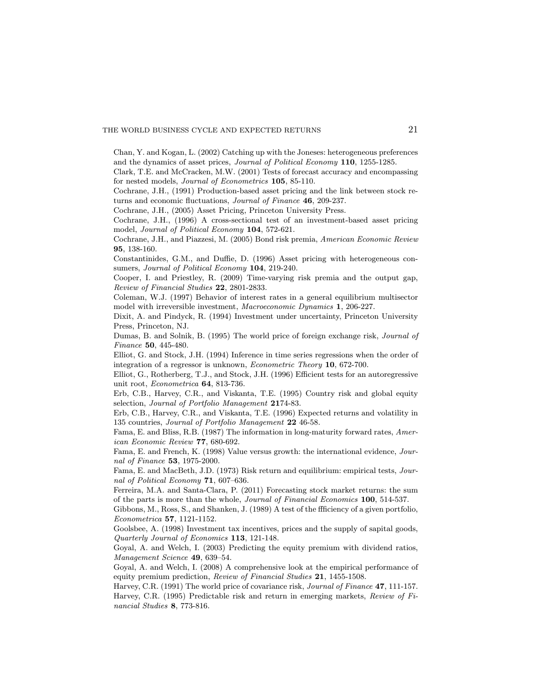Chan, Y. and Kogan, L. (2002) Catching up with the Joneses: heterogeneous preferences and the dynamics of asset prices, Journal of Political Economy 110, 1255-1285.

Clark, T.E. and McCracken, M.W. (2001) Tests of forecast accuracy and encompassing for nested models, Journal of Econometrics 105, 85-110.

Cochrane, J.H., (1991) Production-based asset pricing and the link between stock returns and economic fluctuations, *Journal of Finance* 46, 209-237.

Cochrane, J.H., (2005) Asset Pricing, Princeton University Press.

Cochrane, J.H., (1996) A cross-sectional test of an investment-based asset pricing model, Journal of Political Economy 104, 572-621.

Cochrane, J.H., and Piazzesi, M. (2005) Bond risk premia, American Economic Review 95, 138-160.

Constantinides, G.M., and Duffie, D. (1996) Asset pricing with heterogeneous consumers, Journal of Political Economy 104, 219-240.

Cooper, I. and Priestley, R. (2009) Time-varying risk premia and the output gap, Review of Financial Studies 22, 2801-2833.

Coleman, W.J. (1997) Behavior of interest rates in a general equilibrium multisector model with irreversible investment, Macroeconomic Dynamics 1, 206-227.

Dixit, A. and Pindyck, R. (1994) Investment under uncertainty, Princeton University Press, Princeton, NJ.

Dumas, B. and Solnik, B. (1995) The world price of foreign exchange risk, Journal of Finance 50, 445-480.

Elliot, G. and Stock, J.H. (1994) Inference in time series regressions when the order of integration of a regressor is unknown, Econometric Theory 10, 672-700.

Elliot, G., Rotherberg, T.J., and Stock, J.H. (1996) Efficient tests for an autoregressive unit root, Econometrica 64, 813-736.

Erb, C.B., Harvey, C.R., and Viskanta, T.E. (1995) Country risk and global equity selection, Journal of Portfolio Management 2174-83.

Erb, C.B., Harvey, C.R., and Viskanta, T.E. (1996) Expected returns and volatility in 135 countries, Journal of Portfolio Management 22 46-58.

Fama, E. and Bliss, R.B. (1987) The information in long-maturity forward rates, American Economic Review 77, 680-692.

Fama, E. and French, K. (1998) Value versus growth: the international evidence, Journal of Finance 53, 1975-2000.

Fama, E. and MacBeth, J.D. (1973) Risk return and equilibrium: empirical tests, Journal of Political Economy  $71,607-636$ .

Ferreira, M.A. and Santa-Clara, P. (2011) Forecasting stock market returns: the sum of the parts is more than the whole, Journal of Financial Economics 100, 514-537.

Gibbons,  $M<sub>1</sub>$ , Ross, S., and Shanken, J. (1989) A test of the ffficiency of a given portfolio, Econometrica 57, 1121-1152.

Goolsbee, A. (1998) Investment tax incentives, prices and the supply of sapital goods, Quarterly Journal of Economics 113, 121-148.

Goyal, A. and Welch, I. (2003) Predicting the equity premium with dividend ratios, Management Science 49, 639-54.

Goyal, A. and Welch, I. (2008) A comprehensive look at the empirical performance of equity premium prediction, Review of Financial Studies 21, 1455-1508.

Harvey, C.R. (1991) The world price of covariance risk, Journal of Finance 47, 111-157.

Harvey, C.R. (1995) Predictable risk and return in emerging markets, Review of Financial Studies 8, 773-816.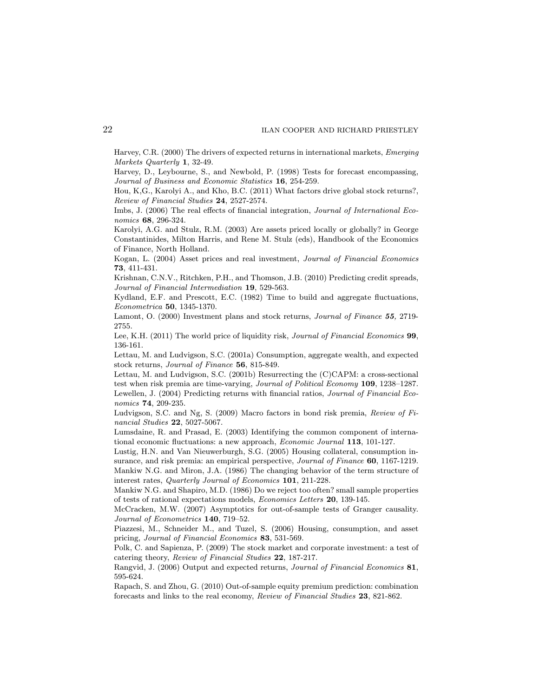Harvey, C.R. (2000) The drivers of expected returns in international markets, Emerging Markets Quarterly 1, 32-49.

Harvey, D., Leybourne, S., and Newbold, P. (1998) Tests for forecast encompassing, Journal of Business and Economic Statistics 16, 254-259.

Hou, K,G., Karolyi A., and Kho, B.C. (2011) What factors drive global stock returns?, Review of Financial Studies 24, 2527-2574.

Imbs, J. (2006) The real effects of financial integration, *Journal of International Eco*nomics 68, 296-324.

Karolyi, A.G. and Stulz, R.M. (2003) Are assets priced locally or globally? in George Constantinides, Milton Harris, and Rene M. Stulz (eds), Handbook of the Economics of Finance, North Holland.

Kogan, L. (2004) Asset prices and real investment, Journal of Financial Economics 73, 411-431.

Krishnan, C.N.V., Ritchken, P.H., and Thomson, J.B. (2010) Predicting credit spreads, Journal of Financial Intermediation 19, 529-563.

Kydland, E.F. and Prescott, E.C. (1982) Time to build and aggregate fluctuations, Econometrica 50, 1345-1370.

Lamont, O. (2000) Investment plans and stock returns, *Journal of Finance* 55, 2719-2755.

Lee, K.H. (2011) The world price of liquidity risk, Journal of Financial Economics 99, 136-161.

Lettau, M. and Ludvigson, S.C. (2001a) Consumption, aggregate wealth, and expected stock returns, Journal of Finance 56, 815-849.

Lettau, M. and Ludvigson, S.C. (2001b) Resurrecting the (C)CAPM: a cross-sectional test when risk premia are time-varying, Journal of Political Economy 109, 1238-1287. Lewellen, J. (2004) Predicting returns with financial ratios, *Journal of Financial Eco*nomics 74, 209-235.

Ludvigson, S.C. and Ng, S. (2009) Macro factors in bond risk premia, Review of Financial Studies 22, 5027-5067.

Lumsdaine, R. and Prasad, E. (2003) Identifying the common component of international economic fluctuations: a new approach, *Economic Journal* 113, 101-127.

Lustig, H.N. and Van Nieuwerburgh, S.G. (2005) Housing collateral, consumption insurance, and risk premia: an empirical perspective, *Journal of Finance* 60, 1167-1219. Mankiw N.G. and Miron, J.A. (1986) The changing behavior of the term structure of interest rates, Quarterly Journal of Economics 101, 211-228.

Mankiw N.G. and Shapiro, M.D. (1986) Do we reject too often? small sample properties of tests of rational expectations models, Economics Letters 20, 139-145.

McCracken, M.W. (2007) Asymptotics for out-of-sample tests of Granger causality. Journal of Econometrics  $140$ ,  $719–52$ .

Piazzesi, M., Schneider M., and Tuzel, S. (2006) Housing, consumption, and asset pricing, Journal of Financial Economics 83, 531-569.

Polk, C. and Sapienza, P. (2009) The stock market and corporate investment: a test of catering theory, Review of Financial Studies 22, 187-217.

Rangvid, J. (2006) Output and expected returns, Journal of Financial Economics 81, 595-624.

Rapach, S. and Zhou, G. (2010) Out-of-sample equity premium prediction: combination forecasts and links to the real economy, Review of Financial Studies 23, 821-862.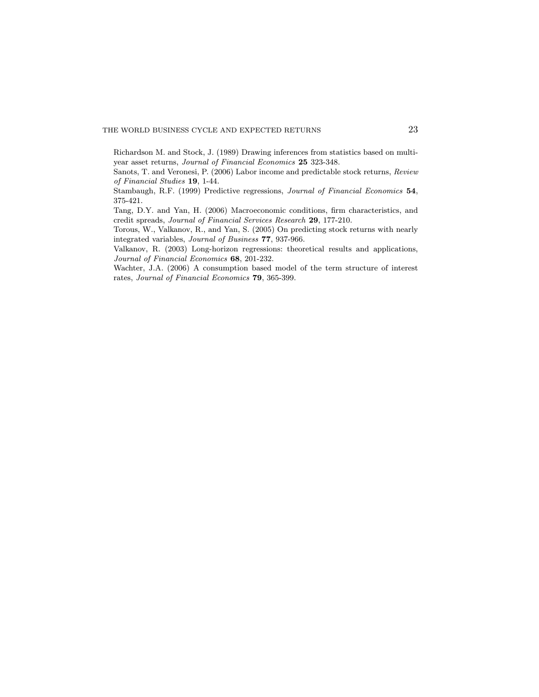Richardson M. and Stock, J. (1989) Drawing inferences from statistics based on multiyear asset returns, Journal of Financial Economics 25 323-348.

Sanots, T. and Veronesi, P. (2006) Labor income and predictable stock returns, Review of Financial Studies 19, 1-44.

Stambaugh, R.F. (1999) Predictive regressions, Journal of Financial Economics 54, 375-421.

Tang, D.Y. and Yan, H. (2006) Macroeconomic conditions, firm characteristics, and credit spreads, Journal of Financial Services Research 29, 177-210.

Torous, W., Valkanov, R., and Yan, S. (2005) On predicting stock returns with nearly integrated variables, Journal of Business 77, 937-966.

Valkanov, R. (2003) Long-horizon regressions: theoretical results and applications, Journal of Financial Economics 68, 201-232.

Wachter, J.A. (2006) A consumption based model of the term structure of interest rates, Journal of Financial Economics 79, 365-399.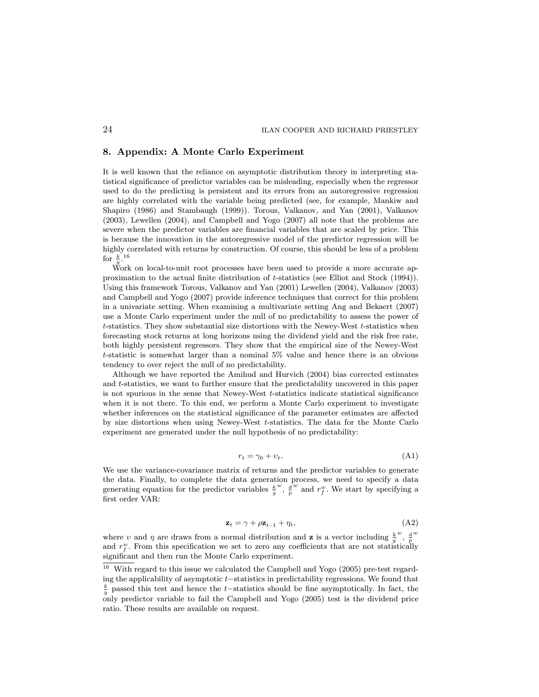## 8. Appendix: A Monte Carlo Experiment

It is well known that the reliance on asymptotic distribution theory in interpreting statistical signicance of predictor variables can be misleading, especially when the regressor used to do the predicting is persistent and its errors from an autoregressive regression are highly correlated with the variable being predicted (see, for example, Mankiw and Shapiro (1986) and Stambaugh (1999)). Torous, Valkanov, and Yan (2001), Valkanov (2003), Lewellen (2004), and Campbell and Yogo (2007) all note that the problems are severe when the predictor variables are financial variables that are scaled by price. This is because the innovation in the autoregressive model of the predictor regression will be highly correlated with returns by construction. Of course, this should be less of a problem for  $\frac{k}{u}$ .<sup>16</sup>

y'<br>Work on local-to-unit root processes have been used to provide a more accurate approximation to the actual nite distribution of t-statistics (see Elliot and Stock (1994)). Using this framework Torous, Valkanov and Yan (2001) Lewellen (2004), Valkanov (2003) and Campbell and Yogo (2007) provide inference techniques that correct for this problem in a univariate setting. When examining a multivariate setting Ang and Bekaert (2007) use a Monte Carlo experiment under the null of no predictability to assess the power of t-statistics. They show substantial size distortions with the Newey-West t-statistics when forecasting stock returns at long horizons using the dividend yield and the risk free rate, both highly persistent regressors. They show that the empirical size of the Newey-West t-statistic is somewhat larger than a nominal 5% value and hence there is an obvious tendency to over reject the null of no predictability.

Although we have reported the Amihud and Hurvich (2004) bias corrected estimates and t-statistics, we want to further ensure that the predictability uncovered in this paper is not spurious in the sense that Newey-West t-statistics indicate statistical signicance when it is not there. To this end, we perform a Monte Carlo experiment to investigate whether inferences on the statistical significance of the parameter estimates are affected by size distortions when using Newey-West t-statistics. The data for the Monte Carlo experiment are generated under the null hypothesis of no predictability:

$$
r_t = \gamma_0 + \upsilon_t. \tag{A1}
$$

We use the variance-covariance matrix of returns and the predictor variables to generate the data. Finally, to complete the data generation process, we need to specify a data generating equation for the predictor variables  $\frac{k}{y}$  $\frac{w}{p}$ ,  $\frac{d}{p}$  $w$  and  $r_f^w$ . We start by specifying a first order VAR:

$$
\mathbf{z}_t = \gamma + \rho \mathbf{z}_{t-1} + \eta_t,\tag{A2}
$$

where v and  $\eta$  are draws from a normal distribution and **z** is a vector including  $\frac{k}{y}$  $w$ ,  $\frac{d}{p}$ w and  $r_f^w$ . From this specification we set to zero any coefficients that are not statistically signicant and then run the Monte Carlo experiment.

 $16$  With regard to this issue we calculated the Campbell and Yogo (2005) pre-test regarding the applicability of asymptotic  $t$ -statistics in predictability regressions. We found that  $\frac{k}{y}$  passed this test and hence the t-statistics should be fine asymptotically. In fact, the only predictor variable to fail the Campbell and Yogo (2005) test is the dividend price ratio. These results are available on request.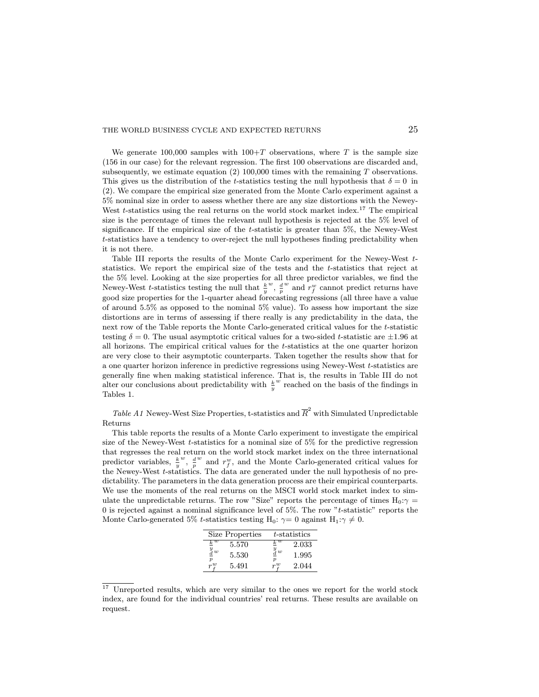We generate 100,000 samples with  $100+T$  observations, where T is the sample size  $(156$  in our case) for the relevant regression. The first 100 observations are discarded and, subsequently, we estimate equation  $(2)$  100,000 times with the remaining T observations. This gives us the distribution of the t-statistics testing the null hypothesis that  $\delta = 0$  in (2). We compare the empirical size generated from the Monte Carlo experiment against a 5% nominal size in order to assess whether there are any size distortions with the Newey-West  $t$ -statistics using the real returns on the world stock market index.<sup>17</sup> The empirical size is the percentage of times the relevant null hypothesis is rejected at the 5% level of significance. If the empirical size of the  $t$ -statistic is greater than 5%, the Newey-West  $t$ -statistics have a tendency to over-reject the null hypotheses finding predictability when it is not there.

Table III reports the results of the Monte Carlo experiment for the Newey-West tstatistics. We report the empirical size of the tests and the t-statistics that reject at the 5% level. Looking at the size properties for all three predictor variables, we find the Newey-West *t*-statistics testing the null that  $\frac{k}{y}$  $\frac{w}{p}$ ,  $\frac{d}{p}$  $w$  and  $r_f^w$  cannot predict returns have good size properties for the 1-quarter ahead forecasting regressions (all three have a value of around 5.5% as opposed to the nominal 5% value). To assess how important the size distortions are in terms of assessing if there really is any predictability in the data, the next row of the Table reports the Monte Carlo-generated critical values for the t-statistic testing  $\delta = 0$ . The usual asymptotic critical values for a two-sided t-statistic are  $\pm 1.96$  at all horizons. The empirical critical values for the t-statistics at the one quarter horizon are very close to their asymptotic counterparts. Taken together the results show that for a one quarter horizon inference in predictive regressions using Newey-West t-statistics are generally fine when making statistical inference. That is, the results in Table III do not alter our conclusions about predictability with  $\frac{k}{y}$  $w$  reached on the basis of the findings in Tables 1.

Table A1 Newey-West Size Properties, t-statistics and  $\overline{R}^2$  with Simulated Unpredictable Returns

This table reports the results of a Monte Carlo experiment to investigate the empirical size of the Newey-West  $t$ -statistics for a nominal size of  $5\%$  for the predictive regression that regresses the real return on the world stock market index on the three international predictor variables,  $\frac{k}{y}$  $w$ ,  $\frac{d}{p}$  $w$  and  $r_f^w$ , and the Monte Carlo-generated critical values for the Newey-West t-statistics. The data are generated under the null hypothesis of no predictability. The parameters in the data generation process are their empirical counterparts. We use the moments of the real returns on the MSCI world stock market index to simulate the unpredictable returns. The row "Size" reports the percentage of times  $H_0: \gamma =$ 0 is rejected against a nominal signicance level of 5%. The row "t-statistic" reports the Monte Carlo-generated 5% t-statistics testing H<sub>0</sub>:  $\gamma = 0$  against H<sub>1</sub>: $\gamma \neq 0$ .

|                                  | Size Properties |          | t-statistics |
|----------------------------------|-----------------|----------|--------------|
| $_k w$                           | 5.570           | $k^w$    | 2.033        |
| $\frac{y}{d}w$<br>$\overline{p}$ | 5.530           | $^y_d$ w | 1.995        |
| $r^w$                            | 5.491           | nu       | 2.044        |

<sup>&</sup>lt;sup>17</sup> Unreported results, which are very similar to the ones we report for the world stock index, are found for the individual countries' real returns. These results are available on request.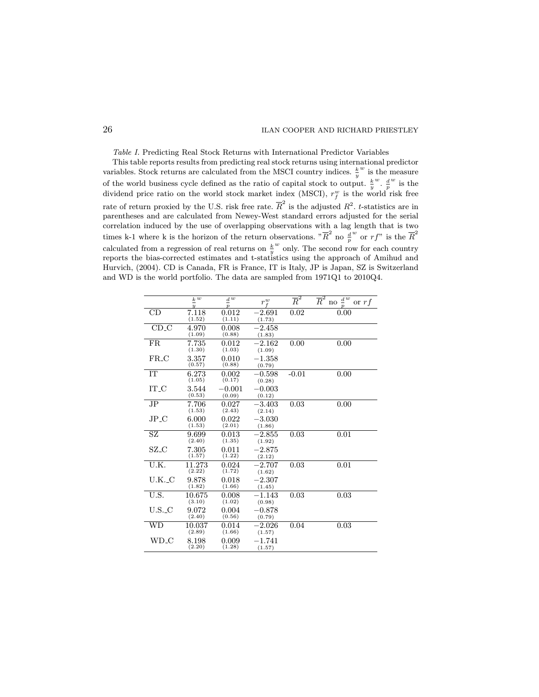## 26 ILAN COOPER AND RICHARD PRIESTLEY

Table I. Predicting Real Stock Returns with International Predictor Variables

This table reports results from predicting real stock returns using international predictor variables. Stock returns are calculated from the MSCI country indices.  $\frac{k}{y}$  $w$  is the measure of the world business cycle defined as the ratio of capital stock to output.  $\frac{k}{y}$  $\frac{w}{p}$ .  $\frac{d}{p}$  $\omega$  is the dividend price ratio on the world stock market index (MSCI),  $r_f^w$  is the world risk free rate of return proxied by the U.S. risk free rate.  $\overline{R}^2$  is the adjusted  $R^2$ . t-statistics are in parentheses and are calculated from Newey-West standard errors adjusted for the serial correlation induced by the use of overlapping observations with a lag length that is two times k-1 where k is the horizon of the return observations.  $"\overline{R}^2$  no  $\frac{d}{p}$  $^w$  or  $rf$ " is the  $\overline{R}^2$ calculated from a regression of real returns on  $\frac{k}{y}$ w only. The second row for each country reports the bias-corrected estimates and t-statistics using the approach of Amihud and Hurvich, (2004). CD is Canada, FR is France, IT is Italy, JP is Japan, SZ is Switzerland and WD is the world portfolio. The data are sampled from 1971Q1 to 2010Q4.

|             | $\underline{k} \overline{w}$<br>$\overline{u}$ | $\underline{d}^{\overline{w}}$<br>$\boldsymbol{p}$ | $r_f^w$               | $\overline{\overline{R}}{}^2$ | $\overline{R}^2$<br>$\frac{d}{dx}$<br>or $rf$<br>no |
|-------------|------------------------------------------------|----------------------------------------------------|-----------------------|-------------------------------|-----------------------------------------------------|
| CD          | 7.118<br>(1.52)                                | 0.012<br>(1.11)                                    | $^{-2.691}$<br>(1.73) | 0.02                          | 0.00                                                |
| CD.C        | 4.970<br>(1.09)                                | 0.008<br>(0.88)                                    | $-2.458$<br>(1.83)    |                               |                                                     |
| FR          | 7.735<br>(1.30)                                | 0.012<br>(1.03)                                    | $-2.162$<br>(1.09)    | 0.00                          | 0.00                                                |
| $FR_C$      | 3.357<br>(0.57)                                | 0.010<br>(0.88)                                    | $-1.358$<br>(0.79)    |                               |                                                     |
| IT          | 6.273<br>(1.05)                                | 0.002<br>(0.17)                                    | $-0.598$<br>(0.28)    | $-0.01$                       | 0.00                                                |
| IT_C        | 3.544<br>(0.53)                                | $-0.001$<br>(0.09)                                 | $-0.003$<br>(0.12)    |                               |                                                     |
| $_{\rm JP}$ | 7.706<br>(1.53)                                | 0.027<br>(2.43)                                    | $-.3.403$<br>(2.14)   | 0.03                          | 0.00                                                |
| JP_C        | 6.000<br>(1.53)                                | 0.022<br>(2.01)                                    | $-3.030$<br>(1.86)    |                               |                                                     |
| SZ          | 9.699<br>(2.40)                                | 0.013<br>(1.35)                                    | $-2.855$<br>(1.92)    | 0.03                          | 0.01                                                |
| $\rm SZ_C$  | 7.305<br>(1.57)                                | 0.011<br>(1.22)                                    | $-2.875$<br>(2.12)    |                               |                                                     |
| U.K.        | 11.273<br>(2.22)                               | 0.024<br>(1.72)                                    | $-2.707$<br>(1.62)    | 0.03                          | 0.01                                                |
| U.K._C      | 9.878<br>(1.82)                                | 0.018<br>(1.66)                                    | $-2.307$<br>(1.45)    |                               |                                                     |
| U.S.        | 10.675<br>(3.10)                               | 0.008<br>(1.02)                                    | $-1.143$<br>(0.98)    | 0.03                          | 0.03                                                |
| U.S. C      | 9.072<br>(2.40)                                | 0.004<br>(0.56)                                    | $-0.878$<br>(0.79)    |                               |                                                     |
| WD          | 10.037<br>(2.89)                               | 0.014<br>(1.66)                                    | $-2.026$<br>(1.57)    | 0.04                          | 0.03                                                |
| WD_C        | 8.198<br>(2.20)                                | 0.009<br>(1.28)                                    | $-1.741$<br>(1.57)    |                               |                                                     |
|             |                                                |                                                    |                       |                               |                                                     |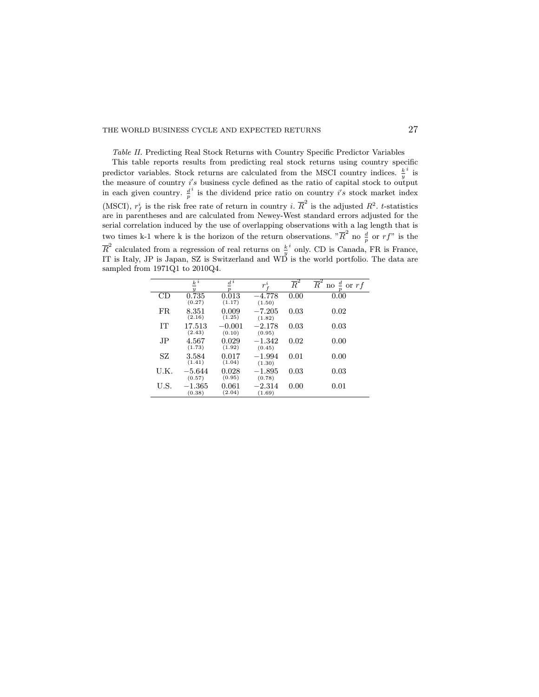Table II. Predicting Real Stock Returns with Country Specific Predictor Variables

This table reports results from predicting real stock returns using country specific predictor variables. Stock returns are calculated from the MSCI country indices.  $\frac{k}{y}$  $i$  is the measure of country  $i's$  business cycle defined as the ratio of capital stock to output in each given country.  $\frac{d}{p}$  $i$  is the dividend price ratio on country  $i's$  stock market index (MSCI),  $r_f^i$  is the risk free rate of return in country *i*.  $\overline{R}^2$  is the adjusted  $R^2$ . *t*-statistics are in parentheses and are calculated from Newey-West standard errors adjusted for the serial correlation induced by the use of overlapping observations with a lag length that is two times k-1 where k is the horizon of the return observations.  ${}^n\overline{R}^2$  no  $\frac{d}{p}$  or  $rf$ " is the  $\overline{R}^2$  calculated from a regression of real returns on  $\frac{k}{y}$  $i$  only. CD is Canada, FR is France, IT is Italy, JP is Japan, SZ is Switzerland and WD is the world portfolio. The data are sampled from 1971Q1 to 2010Q4.

|      | $\frac{k}{2}$<br>$\boldsymbol{u}$ | $\frac{d}{ } i$<br>$\boldsymbol{v}$ | $r^{i}$            | $\overline{\overline{R}}{}^2$ | $\overline{R}^2$<br>$\frac{d}{r}$ or $rf$<br>$\mathbf{n}\mathrm{o}$<br>$\boldsymbol{\eta}$ |
|------|-----------------------------------|-------------------------------------|--------------------|-------------------------------|--------------------------------------------------------------------------------------------|
| СĐ   | 0.735<br>(0.27)                   | 0.013<br>(1.17)                     | $-4.778$<br>(1.50) | 0.00                          | 0.00                                                                                       |
| FR.  | 8.351<br>(2.16)                   | 0.009<br>(1.25)                     | $-7.205$<br>(1.82) | 0.03                          | 0.02                                                                                       |
| IТ   | 17.513<br>(2.43)                  | $-0.001$<br>(0.10)                  | $-2.178$<br>(0.95) | 0.03                          | 0.03                                                                                       |
| JP.  | 4.567<br>(1.73)                   | 0.029<br>(1.92)                     | $-1.342$<br>(0.45) | 0.02                          | 0.00                                                                                       |
| SZ   | 3.584<br>(1.41)                   | 0.017<br>(1.04)                     | $-1.994$<br>(1.30) | 0.01                          | 0.00                                                                                       |
| U.K. | $-5.644\,$<br>(0.57)              | 0.028<br>(0.95)                     | $-1.895$<br>(0.78) | 0.03                          | 0.03                                                                                       |
| U.S. | $-1.365\,$<br>(0.38)              | 0.061<br>(2.04)                     | $-2.314$<br>(1.69) | 0.00                          | 0.01                                                                                       |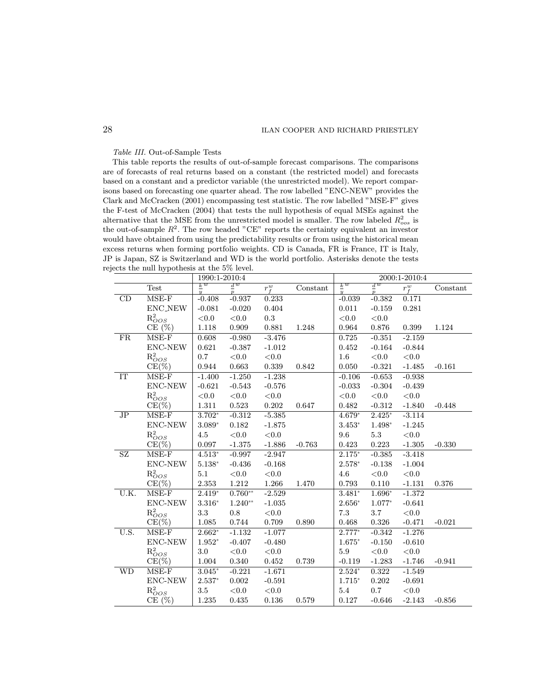## 28 ILAN COOPER AND RICHARD PRIESTLEY

Table III. Out-of-Sample Tests

This table reports the results of out-of-sample forecast comparisons. The comparisons are of forecasts of real returns based on a constant (the restricted model) and forecasts based on a constant and a predictor variable (the unrestricted model). We report comparisons based on forecasting one quarter ahead. The row labelled "ENC-NEW" provides the Clark and McCracken (2001) encompassing test statistic. The row labelled "MSE-F" gives the F-test of McCracken (2004) that tests the null hypothesis of equal MSEs against the alternative that the MSE from the unrestricted model is smaller. The row labeled  $R_{\text{oos}}^2$  is the out-of-sample  $R^2$ . The row headed "CE" reports the certainty equivalent an investor would have obtained from using the predictability results or from using the historical mean excess returns when forming portfolio weights. CD is Canada, FR is France, IT is Italy, JP is Japan, SZ is Switzerland and WD is the world portfolio. Asterisks denote the tests rejects the null hypothesis at the 5% level.

|           |                            | 1990:1-2010:4            |                                     |                    |          |                                 |                          | 2000:1-2010:4      |          |
|-----------|----------------------------|--------------------------|-------------------------------------|--------------------|----------|---------------------------------|--------------------------|--------------------|----------|
|           | <b>Test</b>                | $rac{k}{y}$ <sup>w</sup> | $\frac{d^w}{2}$<br>$\boldsymbol{p}$ | $\overline{r_f^w}$ | Constant | $\frac{k}{2}$<br>$\overline{y}$ | $rac{d}{p}$ <sup>w</sup> | $\overline{r_f^w}$ | Constant |
| CD        | $MSE-F$                    | $-0.408$                 | $-0.937$                            | 0.233              |          | $-0.039$                        | $-0.382$                 | 0.171              |          |
|           | <b>ENC_NEW</b>             | $-0.081$                 | $-0.020$                            | 0.404              |          | 0.011                           | $-0.159$                 | 0.281              |          |
|           | $\mathrm{R}_{OOS}^2$       | ${<}0.0$                 | $<0.0$                              | 0.3                |          | ${<}0.0$                        | < 0.0                    |                    |          |
|           | $CE(\%)$                   | 1.118                    | 0.909                               | 0.881              | 1.248    | 0.964                           | 0.876                    | 0.399              | 1.124    |
| <b>FR</b> | $MSE-F$                    | 0.608                    | $-0.980$                            | $-3.476$           |          | 0.725                           | $-0.351$                 | $-2.159$           |          |
|           | ENC-NEW                    | 0.621                    | $-0.387$                            | $-1.012$           |          | 0.452                           | $-0.164$                 | $-0.844$           |          |
|           | $R^2_{OOS}$                | 0.7                      | ${<}0.0$                            | < 0.0              |          | 1.6                             | < 0.0                    | < 0.0              |          |
|           | $CE(\%)$                   | 0.944                    | 0.663                               | 0.339              | 0.842    | 0.050                           | $-0.321$                 | $-1.485$           | $-0.161$ |
| IT        | $MSE-F$                    | $-1.400$                 | $-1.250$                            | $-1.238$           |          | $-0.106$                        | $-0.653$                 | $-0.938$           |          |
|           | ENC-NEW                    | $-0.621$                 | $-0.543$                            | $-0.576$           |          | $-0.033$                        | $-0.304$                 | $-0.439$           |          |
|           | $R^2_{OOS}$                | < 0.0                    | < 0.0                               | ${<}0.0$           |          | ${<}0.0$                        | ${<}0.0$                 | < 0.0              |          |
|           | $CE(\%)$                   | $1.311\,$                | $\,0.523\,$                         | 0.202              | 0.647    | 0.482                           | $-0.312$                 | $-1.840$           | $-0.448$ |
| JP        | $MSE-F$                    | $3.702*$                 | $-0.312$                            | $-5.385$           |          | $4.679*$                        | $2.425*$                 | $-3.114$           |          |
|           | ENC-NEW                    | $3.089*$                 | 0.182                               | $-1.875$           |          | $3.453*$                        | 1.498*                   | $-1.245$           |          |
|           | $R_{OOS}^2$                | $4.5\,$                  | < 0.0                               | < 0.0              |          | 9.6                             | $5.3\,$                  | < 0.0              |          |
|           | $CE(\%)$                   | 0.097                    | $-1.375$                            | $-1.886$           | $-0.763$ | 0.423                           | 0.223                    | $-1.305$           | $-0.330$ |
| SZ        | $MSE-F$                    | $4.513*$                 | $-0.997$                            | $-2.947$           |          | $2.175*$                        | $-0.385$                 | $-3.418$           |          |
|           | ENC-NEW                    | $5.138*$                 | $-0.436$                            | $-0.168$           |          | $2.578*$                        | $-0.138$                 | $-1.004$           |          |
|           | $\mathrm{R}_{OOS}^2$       | $5.1\,$                  | $<\!0.0$                            | $<\!\!0.0$         |          | $4.6\,$                         | < 0.0                    | ${<}0.0$           |          |
|           | $CE(\%)$                   | 2.353                    | $1.212\,$                           | 1.266              | 1.470    | 0.793                           | 0.110                    | $-1.131$           | 0.376    |
| U.K.      | $MSE-F$                    | $2.419*$                 | $0.760**$                           | $-2.529$           |          | $3.481*$                        | $1.696*$                 | $-1.372$           |          |
|           | ENC-NEW                    | $3.316*$                 | $1.240**$                           | $-1.035$           |          | $2.656*$                        | 1.077*                   | $-0.641$           |          |
|           | $R^2_{OOS}$                | 3.3                      | 0.8                                 | ${<}0.0$           |          | $7.3\,$                         | 3.7                      | < 0.0              |          |
|           | $CE(\%)$                   | 1.085                    | 0.744                               | 0.709              | 0.890    | 0.468                           | 0.326                    | $-0.471$           | $-0.021$ |
| U.S.      | $\overline{\text{MSE}}$ -F | $2.662*$                 | $-1.132$                            | $-1.077$           |          | $2.777*$                        | $-0.342$                 | $-1.276$           |          |
|           | ENC-NEW                    | $1.952*$                 | $-0.407$                            | $-0.480$           |          | $1.675*$                        | $-0.150$                 | $-0.610$           |          |
|           | $R^2_{OOS}$                | 3.0                      | ${<}0.0$                            | $<\!\!0.0$         |          | $5.9\,$                         | $<\!0.0$                 | ${<}0.0$           |          |
|           | $CE(\%)$                   | 1.004                    | 0.340                               | 0.452              | 0.739    | $-0.119$                        | $-1.283$                 | $-1.746$           | $-0.941$ |
| <b>WD</b> | $MSE-F$                    | $3.045*$                 | $-0.221$                            | $-1.671$           |          | $2.524*$                        | 0.322                    | $-1.549$           |          |
|           | ENC-NEW                    | $2.537*$                 | 0.002                               | $-0.591$           |          | $1.715*$                        | $0.202\,$                | $-0.691$           |          |
|           | $\mathrm{R}_{OOS}^2$       | 3.5                      | < 0.0                               | < 0.0              |          | 5.4                             | $0.7\,$                  | < 0.0              |          |
|           | $CE(\%)$                   | 1.235                    | 0.435                               | 0.136              | 0.579    | 0.127                           | $-0.646$                 | $-2.143$           | $-0.856$ |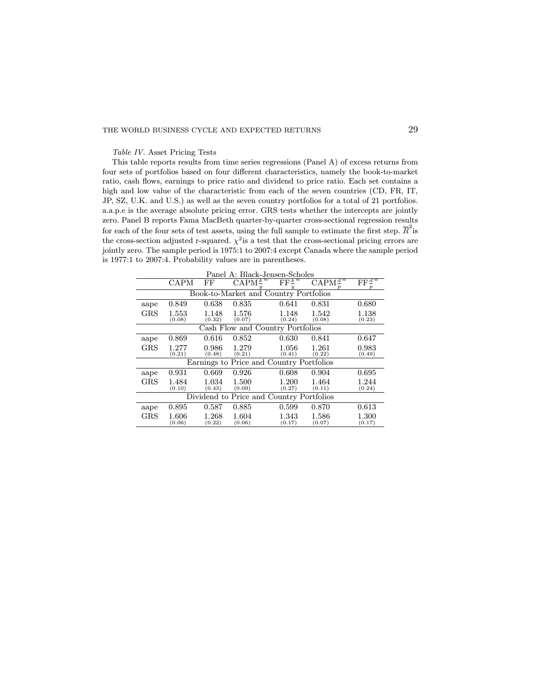Table IV. Asset Pricing Tests

This table reports results from time series regressions (Panel A) of excess returns from four sets of portfolios based on four different characteristics, namely the book-to-market ratio, cash flows, earnings to price ratio and dividend to price ratio. Each set contains a high and low value of the characteristic from each of the seven countries (CD, FR, IT, JP, SZ, U.K. and U.S.) as well as the seven country portfolios for a total of 21 portfolios. a.a.p.e is the average absolute pricing error. GRS tests whether the intercepts are jointly zero. Panel B reports Fama MacBeth quarter-by-quarter cross-sectional regression results for each of the four sets of test assets, using the full sample to estimate the first step.  $\overline{R}^2$  is the cross-section adjusted r-squared.  $\chi^2$  is a test that the cross-sectional pricing errors are jointly zero. The sample period is 1975:1 to 2007:4 except Canada where the sample period is 1977:1 to 2007:4. Probability values are in parentheses.

| Panel A: Black-Jensen-Scholes |                                          |                 |                                          |                                            |                             |                                   |  |  |
|-------------------------------|------------------------------------------|-----------------|------------------------------------------|--------------------------------------------|-----------------------------|-----------------------------------|--|--|
|                               | <b>CAPM</b>                              | FF              | $\text{CAPM}^{\underline{k}}$            | $\overline{\mathrm{FF}^{\underline{k}^w}}$ | $\text{CAPM}^{\frac{d}{w}}$ | $\overline{\mathrm{FF}^{\,d\,w}}$ |  |  |
|                               | Book-to-Market and Country Portfolios    |                 |                                          |                                            |                             |                                   |  |  |
| aape                          | 0.849                                    | 0.638           | 0.835                                    | 0.641                                      | 0.831                       | 0.680                             |  |  |
| $_{\rm GRS}$                  | 1.553<br>(0.08)                          | 1.148<br>(0.32) | 1.576<br>(0.07)                          | 1.148<br>(0.24)                            | 1.542<br>(0.08)             | 1.138<br>(0.23)                   |  |  |
|                               | Cash Flow and Country Portfolios         |                 |                                          |                                            |                             |                                   |  |  |
| aape                          | 0.869                                    | 0.616           | 0.852                                    | 0.630                                      | 0.841                       | 0.647                             |  |  |
| $_{\rm GRS}$                  | 1.277<br>(0.21)                          | 0.986<br>(0.48) | 1.279<br>(0.21)                          | 1.056<br>(0.41)                            | 1.261<br>(0.22)             | 0.983<br>(0.49)                   |  |  |
|                               |                                          |                 | Earnings to Price and Country Portfolios |                                            |                             |                                   |  |  |
| aape                          | 0.931                                    | 0.669           | 0.926                                    | 0.608                                      | 0.904                       | 0.695                             |  |  |
| <b>GRS</b>                    | 1.484<br>(0.10)                          | 1.034<br>(0.43) | 1.500<br>(0.09)                          | 1.200<br>(0.27)                            | 1.464<br>(0.11)             | 1.244<br>(0.24)                   |  |  |
|                               | Dividend to Price and Country Portfolios |                 |                                          |                                            |                             |                                   |  |  |
| aape                          | 0.895                                    | 0.587           | 0.885                                    | 0.599                                      | 0.870                       | 0.613                             |  |  |
| $_{\rm GRS}$                  | 1.606<br>(0.06)                          | 1.268<br>(0.22) | 1.604<br>(0.06)                          | 1.343<br>(0.17)                            | 1.586<br>(0.07)             | 1.300<br>(0.17)                   |  |  |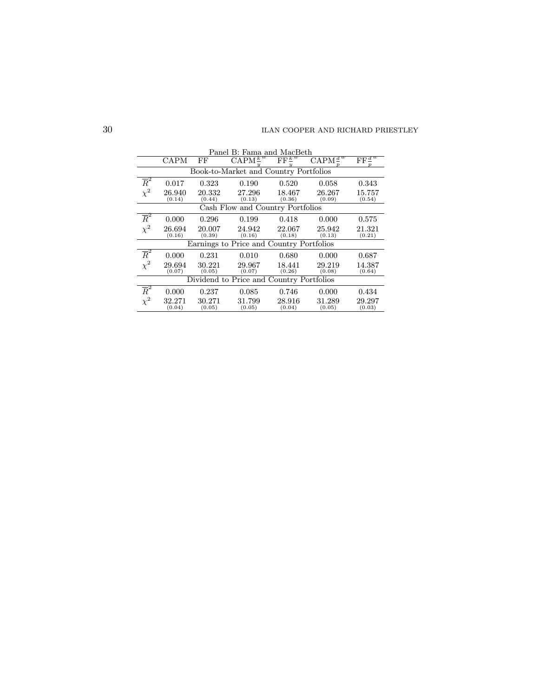|                                          | Panel B: Fama and MacBeth                |                  |                              |                                                         |                               |                                      |  |  |  |  |
|------------------------------------------|------------------------------------------|------------------|------------------------------|---------------------------------------------------------|-------------------------------|--------------------------------------|--|--|--|--|
|                                          | CAPM                                     | FF               | $\text{CAPM}^{\overline{k}}$ | $\overline{\mathrm{FF}^{\underline{k}^{\overline{w}}}}$ | $\text{CAPM}^{\frac{d^w}{2}}$ | $\mathrm{FF}^{\,\overline{d}^{\,w}}$ |  |  |  |  |
|                                          | Book-to-Market and Country Portfolios    |                  |                              |                                                         |                               |                                      |  |  |  |  |
| $\overline{R}^2$                         | 0.017                                    | 0.323            | 0.190                        | 0.520                                                   | 0.058                         | 0.343                                |  |  |  |  |
| $\chi^2$                                 | 26.940<br>(0.14)                         | 20.332<br>(0.44) | 27.296<br>(0.13)             | 18.467<br>(0.36)                                        | 26.267<br>(0.09)              | $15.757\,$<br>(0.54)                 |  |  |  |  |
| Cash Flow and Country Portfolios         |                                          |                  |                              |                                                         |                               |                                      |  |  |  |  |
| $\overline{R}^2$                         | 0.000                                    | 0.296            | 0.199                        | 0.418                                                   | 0.000                         | 0.575                                |  |  |  |  |
| $\chi^2$                                 | 26.694<br>(0.16)                         | 20.007<br>(0.39) | 24.942<br>(0.16)             | 22.067<br>(0.18)                                        | 25.942<br>(0.13)              | 21.321<br>(0.21)                     |  |  |  |  |
| Earnings to Price and Country Portfolios |                                          |                  |                              |                                                         |                               |                                      |  |  |  |  |
| $\overline{R}^2$                         | 0.000                                    | 0.231            | 0.010                        | 0.680                                                   | 0.000                         | 0.687                                |  |  |  |  |
| $\chi^2$                                 | 29.694<br>(0.07)                         | 30.221<br>(0.05) | 29.967<br>(0.07)             | 18.441<br>(0.26)                                        | 29.219<br>(0.08)              | 14.387<br>(0.64)                     |  |  |  |  |
|                                          | Dividend to Price and Country Portfolios |                  |                              |                                                         |                               |                                      |  |  |  |  |
| $\overline{R}^2$                         | 0.000                                    | 0.237            | 0.085                        | 0.746                                                   | 0.000                         | 0.434                                |  |  |  |  |
| $\chi^2$                                 | 32.271<br>(0.04)                         | 30.271<br>(0.05) | 31.799<br>(0.05)             | 28.916<br>(0.04)                                        | 31.289<br>(0.05)              | 29.297<br>(0.03)                     |  |  |  |  |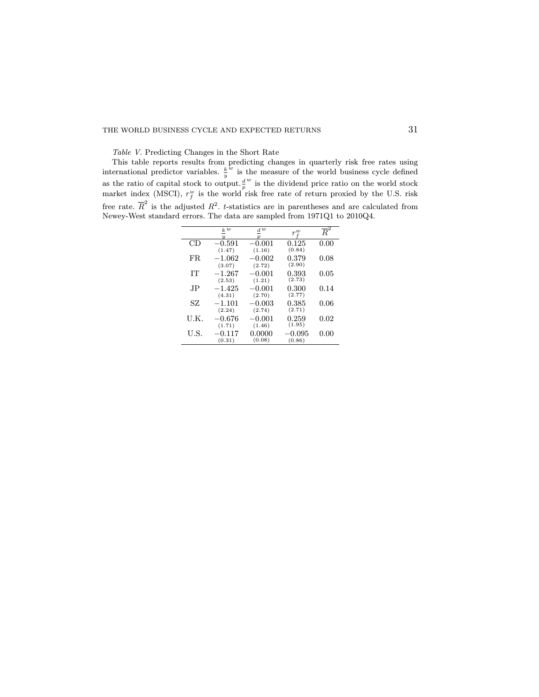Table V. Predicting Changes in the Short Rate

This table reports results from predicting changes in quarterly risk free rates using international predictor variables.  $\frac{k}{y}$  $\omega$  is the measure of the world business cycle defined as the ratio of capital stock to output. $\frac{d}{p}$  $w$  is the dividend price ratio on the world stock market index (MSCI),  $r_f^w$  is the world risk free rate of return proxied by the U.S. risk free rate.  $\overline{R}^2$  is the adjusted  $R^2$ . t-statistics are in parentheses and are calculated from Newey-West standard errors. The data are sampled from 1971Q1 to 2010Q4.

|      | $\underline{k}^{\,w}$<br>y | $\underline{d}^{\;\overline{w}}$ | $r^w$            | $\overline{R}^2$ |
|------|----------------------------|----------------------------------|------------------|------------------|
| CD   | $-0.591$<br>(1.47)         | $-0.001$<br>(1.16)               | 0.125<br>(0.84)  | 0.00             |
| FR.  | $-1.062$<br>(3.07)         | $-0.002$<br>(2.72)               | 0.379<br>(2.90)  | 0.08             |
| IТ   | $-1.267$                   | $-0.001$                         | 0.393<br>(2.73)  | 0.05             |
| JP.  | (2.53)<br>$-1.425$         | (1.21)<br>$-0.001$               | 0.300            | 0.14             |
| SZ   | (4.31)<br>$-1.101$         | (2.70)<br>$-0.003$               | (2.77)<br>0.385  | 0.06             |
| U.K. | (2.24)<br>$-0.676$         | (2.74)<br>$-0.001$               | (2.71)<br>0.259  | 0.02             |
|      | (1.71)                     | (1.46)                           | (1.95)           |                  |
| U.S. | $-0.117$<br>(0.31)         | 0.0000<br>(0.08)                 | —0.095<br>(0.86) | 0.00             |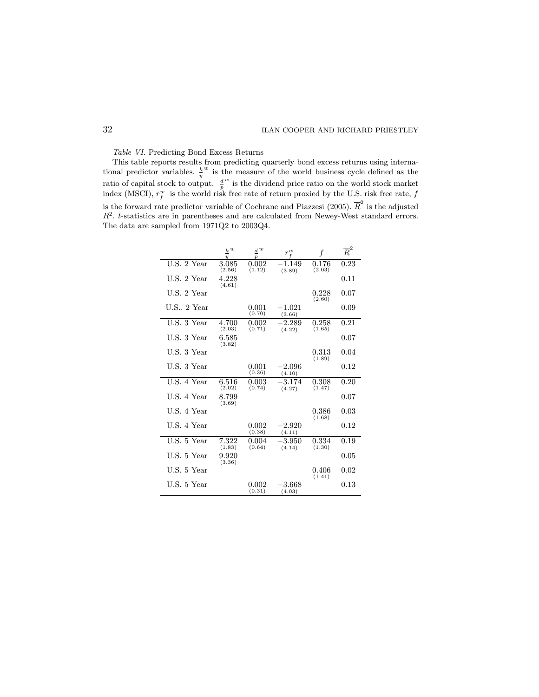Table VI. Predicting Bond Excess Returns

This table reports results from predicting quarterly bond excess returns using international predictor variables.  $\frac{k}{y}$  $w$  is the measure of the world business cycle defined as the ratio of capital stock to output.  $\frac{d}{p}$  $\stackrel{w}{\rule{0pt}{0.5ex}}$  is the dividend price ratio on the world stock market index (MSCI),  $r_f^w$  is the world risk free rate of return proxied by the U.S. risk free rate,  $f$ is the forward rate predictor variable of Cochrane and Piazzesi (2005).  $\overline{R}^2$  is the adjusted  $R<sup>2</sup>$ . t-statistics are in parentheses and are calculated from Newey-West standard errors. The data are sampled from 1971Q2 to 2003Q4.

|                | $\overline{k} \, \overline{w}$<br>$\overline{y}$ | $d\,\overline{w}$<br>$\overline{p}$ | $r^w$              | f                     | $\overline{R}^2$ |
|----------------|--------------------------------------------------|-------------------------------------|--------------------|-----------------------|------------------|
| U.S. 2 Year    | 3.085<br>(2.56)                                  | 0.002<br>(1.12)                     | $-1.149$<br>(3.89) | 0.176<br>(2.03)       | 0.23             |
| U.S. 2 Year    | 4.228<br>(4.61)                                  |                                     |                    |                       | 0.11             |
| U.S. 2 Year    |                                                  |                                     |                    | 0.228<br>(2.60)       | 0.07             |
| $U.S., 2$ Year |                                                  | 0.001<br>(0.70)                     | $-1.021$<br>(3.66) |                       | 0.09             |
| U.S. 3 Year    | 4.700<br>(2.03)                                  | 0.002<br>(0.71)                     | $-2.289$<br>(4.22) | 0.258<br>(1.65)       | 0.21             |
| U.S. 3 Year    | 6.585<br>(3.82)                                  |                                     |                    |                       | 0.07             |
| U.S. 3 Year    |                                                  |                                     |                    | $\rm 0.313$<br>(1.89) | 0.04             |
| U.S. 3 Year    |                                                  | 0.001<br>(0.36)                     | $-2.096$<br>(4.10) |                       | 0.12             |
| U.S. 4 Year    | 6.516<br>(2.02)                                  | $\,0.003\,$<br>(0.74)               | $-3.174$<br>(4.27) | 0.308<br>(1.47)       | 0.20             |
| U.S. 4 Year    | 8.799<br>(3.69)                                  |                                     |                    |                       | 0.07             |
| U.S. 4 Year    |                                                  |                                     |                    | 0.386<br>(1.68)       | 0.03             |
| U.S. 4 Year    |                                                  | 0.002<br>(0.38)                     | $-2.920$<br>(4.11) |                       | 0.12             |
| U.S. 5 Year    | 7.322<br>(1.83)                                  | 0.004<br>(0.64)                     | $-3.950$<br>(4.14) | 0.334<br>(1.30)       | 0.19             |
| U.S. 5 Year    | 9.920<br>(3.36)                                  |                                     |                    |                       | 0.05             |
| U.S. 5 Year    |                                                  |                                     |                    | 0.406<br>(1.41)       | 0.02             |
| U.S. 5 Year    |                                                  | 0.002<br>(0.31)                     | $-3.668$<br>(4.03) |                       | 0.13             |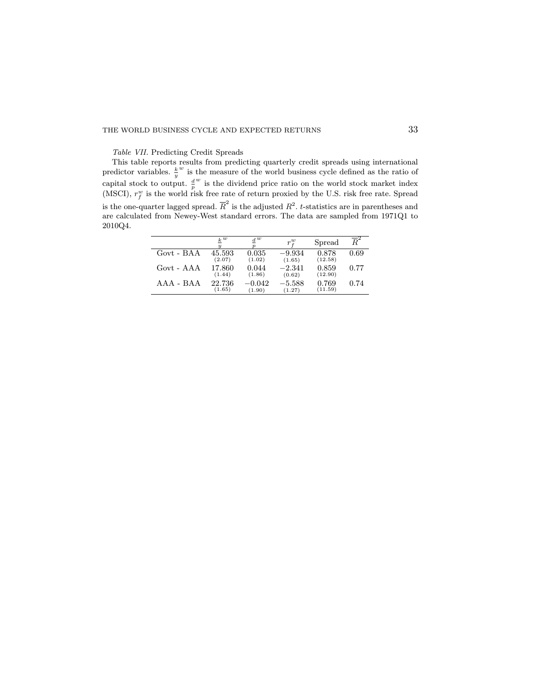Table VII. Predicting Credit Spreads

This table reports results from predicting quarterly credit spreads using international predictor variables.  $\frac{k}{y}$  $w$  is the measure of the world business cycle defined as the ratio of capital stock to output.  $\frac{d}{p}$  $w$  is the dividend price ratio on the world stock market index (MSCI),  $r_f^w$  is the world risk free rate of return proxied by the U.S. risk free rate. Spread is the one-quarter lagged spread.  $\overline{R}^2$  is the adjusted  $R^2$ . t-statistics are in parentheses and are calculated from Newey-West standard errors. The data are sampled from 1971Q1 to 2010Q4.

|                 | k w<br>$\boldsymbol{u}$ | $d^w$<br>$\boldsymbol{\eta}$ | $r^w_i$            | Spread           | $\overline{R}^2$ |
|-----------------|-------------------------|------------------------------|--------------------|------------------|------------------|
| Govt - BAA      | 45.593<br>(2.07)        | 0.035<br>(1.02)              | $-9.934$<br>(1.65) | 0.878<br>(12.58) | 0.69             |
| Govt - AAA      | 17.860<br>(1.44)        | 0.044<br>(1.86)              | $-2.341$<br>(0.62) | 0.859<br>(12.90) | 0.77             |
| $A A A - B A A$ | 22.736<br>(1.65)        | -0.042<br>(1.90)             | $-5.588$<br>(1.27) | 0.769<br>(11.59) | 0.74             |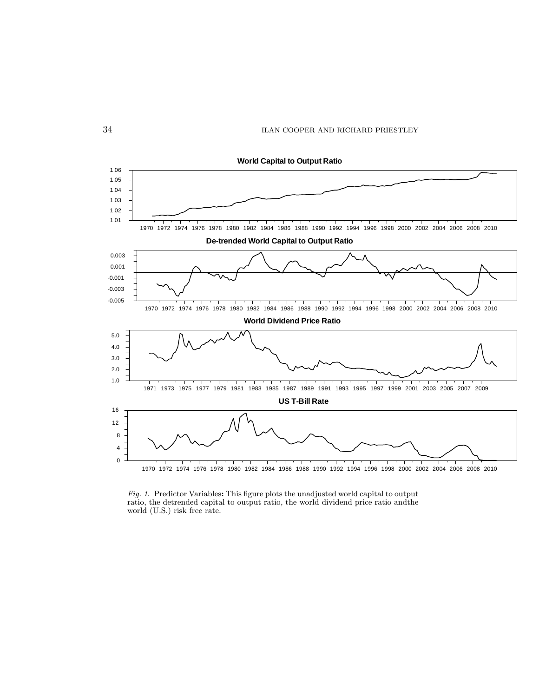

**World Capital to Output Ratio**

Fig. 1. Predictor Variables: This figure plots the unadjusted world capital to output ratio, the detrended capital to output ratio, the world dividend price ratio andthe world (U.S.) risk free rate.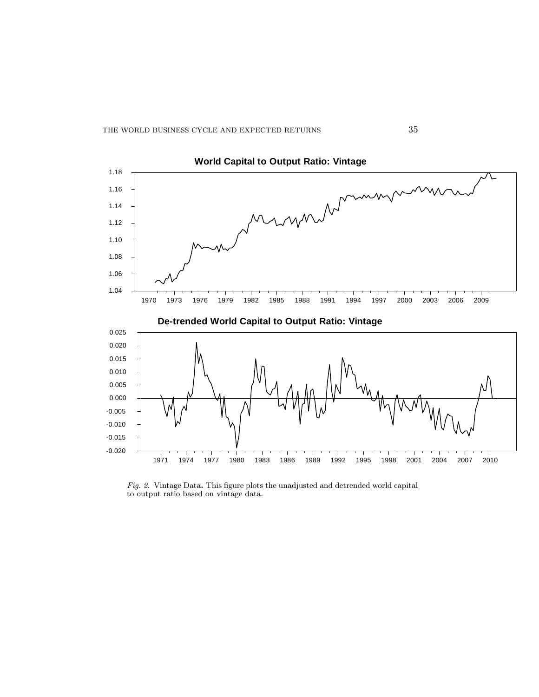

 $Fig. 2.$  Vintage Data. This figure plots the unadjusted and detrended world capital to output ratio based on vintage data.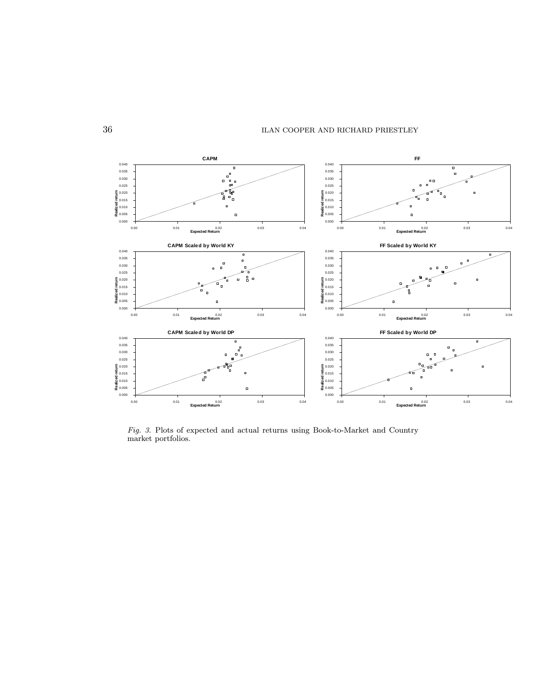

Fig. 3. Plots of expected and actual returns using Book-to-Market and Country market portfolios.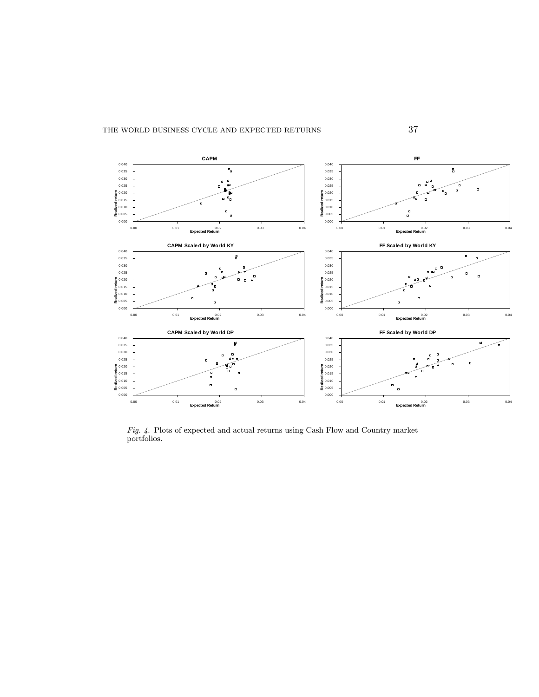

Fig. 4. Plots of expected and actual returns using Cash Flow and Country market portfolios.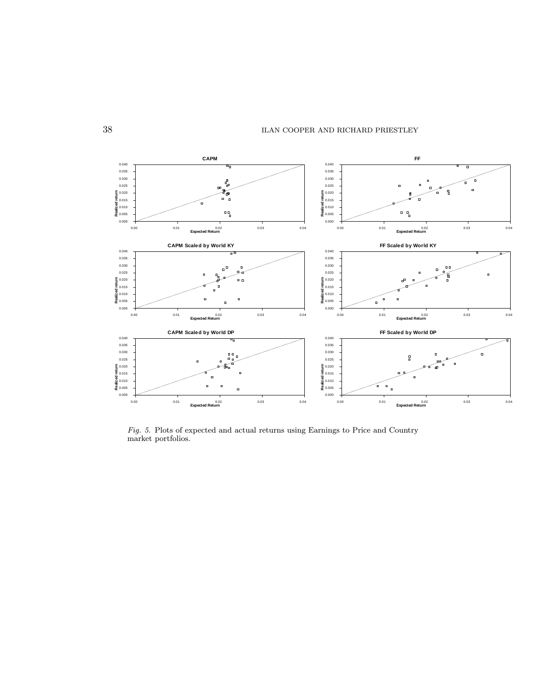

Fig. 5. Plots of expected and actual returns using Earnings to Price and Country market portfolios.